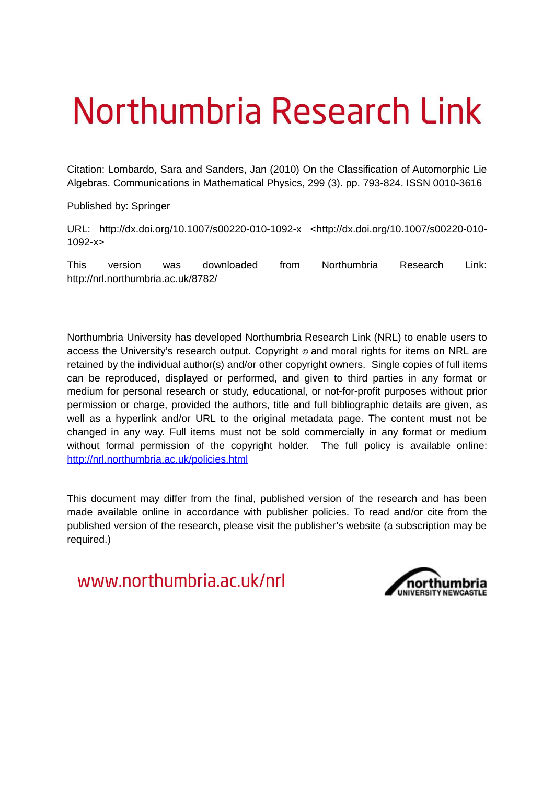# Northumbria Research Link

Citation: Lombardo, Sara and Sanders, Jan (2010) On the Classification of Automorphic Lie Algebras. Communications in Mathematical Physics, 299 (3). pp. 793-824. ISSN 0010-3616

Published by: Springer

URL: http://dx.doi.org/10.1007/s00220-010-1092-x <http://dx.doi.org/10.1007/s00220-010- 1092-x>

This version was downloaded from Northumbria Research Link: http://nrl.northumbria.ac.uk/8782/

Northumbria University has developed Northumbria Research Link (NRL) to enable users to access the University's research output. Copyright  $\circ$  and moral rights for items on NRL are retained by the individual author(s) and/or other copyright owners. Single copies of full items can be reproduced, displayed or performed, and given to third parties in any format or medium for personal research or study, educational, or not-for-profit purposes without prior permission or charge, provided the authors, title and full bibliographic details are given, as well as a hyperlink and/or URL to the original metadata page. The content must not be changed in any way. Full items must not be sold commercially in any format or medium without formal permission of the copyright holder. The full policy is available online: <http://nrl.northumbria.ac.uk/policies.html>

This document may differ from the final, published version of the research and has been made available online in accordance with publisher policies. To read and/or cite from the published version of the research, please visit the publisher's website (a subscription may be required.)

www.northumbria.ac.uk/nrl

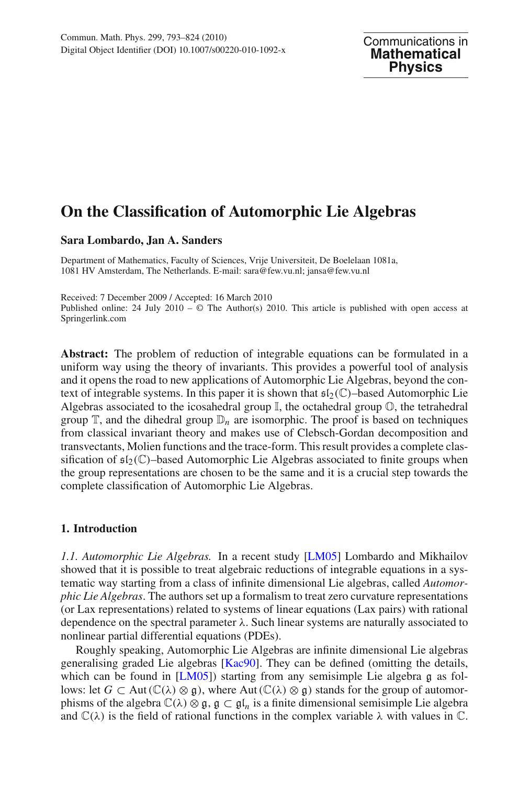## **On the Classification of Automorphic Lie Algebras**

#### **Sara Lombardo, Jan A. Sanders**

Department of Mathematics, Faculty of Sciences, Vrije Universiteit, De Boelelaan 1081a, 1081 HV Amsterdam, The Netherlands. E-mail: sara@few.vu.nl; jansa@few.vu.nl

Received: 7 December 2009 / Accepted: 16 March 2010 Published online: 24 July 2010 –  $\odot$  The Author(s) 2010. This article is published with open access at Springerlink.com

**Abstract:** The problem of reduction of integrable equations can be formulated in a uniform way using the theory of invariants. This provides a powerful tool of analysis and it opens the road to new applications of Automorphic Lie Algebras, beyond the context of integrable systems. In this paper it is shown that  $\mathfrak{sl}_2(\mathbb{C})$ –based Automorphic Lie Algebras associated to the icosahedral group  $\mathbb{I}$ , the octahedral group  $\mathbb{O}$ , the tetrahedral group  $\mathbb{T}$ , and the dihedral group  $\mathbb{D}_n$  are isomorphic. The proof is based on techniques from classical invariant theory and makes use of Clebsch-Gordan decomposition and transvectants, Molien functions and the trace-form. This result provides a complete classification of  $\mathfrak{sl}_2(\mathbb{C})$ –based Automorphic Lie Algebras associated to finite groups when the group representations are chosen to be the same and it is a crucial step towards the complete classification of Automorphic Lie Algebras.

#### **1. Introduction**

*1.1. Automorphic Lie Algebras.* In a recent study [\[LM05](#page-31-0)] Lombardo and Mikhailov showed that it is possible to treat algebraic reductions of integrable equations in a systematic way starting from a class of infinite dimensional Lie algebras, called *Automorphic Lie Algebras*. The authors set up a formalism to treat zero curvature representations (or Lax representations) related to systems of linear equations (Lax pairs) with rational dependence on the spectral parameter  $\lambda$ . Such linear systems are naturally associated to nonlinear partial differential equations (PDEs).

Roughly speaking, Automorphic Lie Algebras are infinite dimensional Lie algebras generalising graded Lie algebras [\[Kac90\]](#page-31-1). They can be defined (omitting the details, which can be found in [\[LM05](#page-31-0)]) starting from any semisimple Lie algebra  $\alpha$  as follows: let *G* ⊂ Aut ( $\mathbb{C}(\lambda) \otimes \mathfrak{g}$ ), where Aut ( $\mathbb{C}(\lambda) \otimes \mathfrak{g}$ ) stands for the group of automorphisms of the algebra  $\mathbb{C}(\lambda) \otimes \mathfrak{g}$ ,  $\mathfrak{g} \subset \mathfrak{gl}_n$  is a finite dimensional semisimple Lie algebra and  $\mathbb{C}(\lambda)$  is the field of rational functions in the complex variable  $\lambda$  with values in  $\mathbb{C}$ .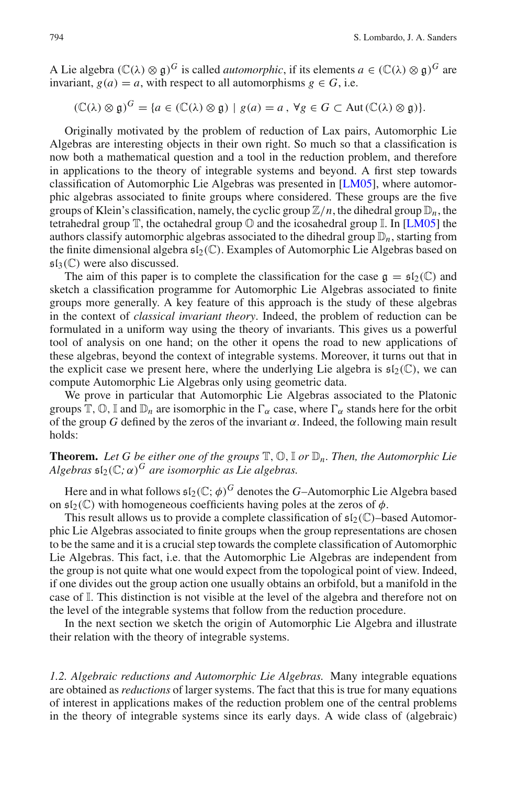A Lie algebra  $(\mathbb{C}(\lambda) \otimes \mathfrak{g})^G$  is called *automorphic*, if its elements  $a \in (\mathbb{C}(\lambda) \otimes \mathfrak{g})^G$  are invariant,  $g(a) = a$ , with respect to all automorphisms  $g \in G$ , i.e.

$$
(\mathbb{C}(\lambda) \otimes \mathfrak{g})^G = \{ a \in (\mathbb{C}(\lambda) \otimes \mathfrak{g}) \mid g(a) = a, \forall g \in G \subset \text{Aut}(\mathbb{C}(\lambda) \otimes \mathfrak{g}) \}.
$$

Originally motivated by the problem of reduction of Lax pairs, Automorphic Lie Algebras are interesting objects in their own right. So much so that a classification is now both a mathematical question and a tool in the reduction problem, and therefore in applications to the theory of integrable systems and beyond. A first step towards classification of Automorphic Lie Algebras was presented in [\[LM05\]](#page-31-0), where automorphic algebras associated to finite groups where considered. These groups are the five groups of Klein's classification, namely, the cyclic group  $\mathbb{Z}/n$ , the dihedral group  $\mathbb{D}_n$ , the tetrahedral group  $\mathbb T$ , the octahedral group  $\mathbb O$  and the icosahedral group  $\mathbb I$ . In [\[LM05](#page-31-0)] the authors classify automorphic algebras associated to the dihedral group  $\mathbb{D}_n$ , starting from the finite dimensional algebra  $\mathfrak{sl}_2(\mathbb{C})$ . Examples of Automorphic Lie Algebras based on  $\mathfrak{sl}_3(\mathbb{C})$  were also discussed.

The aim of this paper is to complete the classification for the case  $\mathfrak{g} = \mathfrak{sl}_2(\mathbb{C})$  and sketch a classification programme for Automorphic Lie Algebras associated to finite groups more generally. A key feature of this approach is the study of these algebras in the context of *classical invariant theory*. Indeed, the problem of reduction can be formulated in a uniform way using the theory of invariants. This gives us a powerful tool of analysis on one hand; on the other it opens the road to new applications of these algebras, beyond the context of integrable systems. Moreover, it turns out that in the explicit case we present here, where the underlying Lie algebra is  $\mathfrak{sl}_2(\mathbb{C})$ , we can compute Automorphic Lie Algebras only using geometric data.

We prove in particular that Automorphic Lie Algebras associated to the Platonic groups  $\mathbb{T}, \mathbb{O}, \mathbb{I}$  and  $\mathbb{D}_n$  are isomorphic in the  $\Gamma_\alpha$  case, where  $\Gamma_\alpha$  stands here for the orbit of the group *G* defined by the zeros of the invariant  $\alpha$ . Indeed, the following main result holds:

#### **Theorem.** Let G be either one of the groups  $\mathbb{T}, \mathbb{O}, \mathbb{I}$  or  $\mathbb{D}_n$ . Then, the Automorphic Lie *Algebras*  $\mathfrak{sl}_2(\mathbb{C}; \alpha)^G$  *are isomorphic as Lie algebras.*

Here and in what follows  $\mathfrak{sl}_2(\mathbb{C};\phi)^G$  denotes the *G*–Automorphic Lie Algebra based on  $\mathfrak{sl}_2(\mathbb{C})$  with homogeneous coefficients having poles at the zeros of  $\phi$ .

This result allows us to provide a complete classification of  $\mathfrak{sl}_2(\mathbb{C})$ –based Automorphic Lie Algebras associated to finite groups when the group representations are chosen to be the same and it is a crucial step towards the complete classification of Automorphic Lie Algebras. This fact, i.e. that the Automorphic Lie Algebras are independent from the group is not quite what one would expect from the topological point of view. Indeed, if one divides out the group action one usually obtains an orbifold, but a manifold in the case of I. This distinction is not visible at the level of the algebra and therefore not on the level of the integrable systems that follow from the reduction procedure.

In the next section we sketch the origin of Automorphic Lie Algebra and illustrate their relation with the theory of integrable systems.

*1.2. Algebraic reductions and Automorphic Lie Algebras.* Many integrable equations are obtained as *reductions* of larger systems. The fact that this is true for many equations of interest in applications makes of the reduction problem one of the central problems in the theory of integrable systems since its early days. A wide class of (algebraic)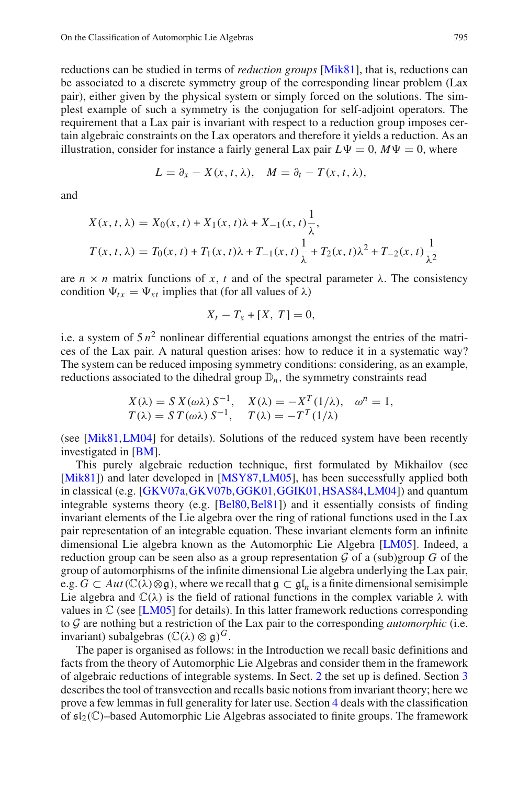reductions can be studied in terms of *reduction groups* [\[Mik81\]](#page-31-2), that is, reductions can be associated to a discrete symmetry group of the corresponding linear problem (Lax pair), either given by the physical system or simply forced on the solutions. The simplest example of such a symmetry is the conjugation for self-adjoint operators. The requirement that a Lax pair is invariant with respect to a reduction group imposes certain algebraic constraints on the Lax operators and therefore it yields a reduction. As an illustration, consider for instance a fairly general Lax pair  $L\Psi = 0$ ,  $M\Psi = 0$ , where

$$
L = \partial_x - X(x, t, \lambda), \quad M = \partial_t - T(x, t, \lambda),
$$

and

$$
X(x, t, \lambda) = X_0(x, t) + X_1(x, t)\lambda + X_{-1}(x, t)\frac{1}{\lambda},
$$
  
\n
$$
T(x, t, \lambda) = T_0(x, t) + T_1(x, t)\lambda + T_{-1}(x, t)\frac{1}{\lambda} + T_2(x, t)\lambda^2 + T_{-2}(x, t)\frac{1}{\lambda^2}
$$

<span id="page-3-0"></span>are  $n \times n$  matrix functions of x, t and of the spectral parameter  $\lambda$ . The consistency condition  $\Psi_{tx} = \Psi_{xt}$  implies that (for all values of  $\lambda$ )

$$
X_t - T_x + [X, T] = 0,
$$

i.e. a system of  $5n^2$  nonlinear differential equations amongst the entries of the matrices of the Lax pair. A natural question arises: how to reduce it in a systematic way? The system can be reduced imposing symmetry conditions: considering, as an example, reductions associated to the dihedral group  $\mathbb{D}_n$ , the symmetry constraints read

$$
X(\lambda) = S X(\omega \lambda) S^{-1}, \quad X(\lambda) = -X^T(1/\lambda), \quad \omega^n = 1,
$$
  
\n
$$
T(\lambda) = S T(\omega \lambda) S^{-1}, \quad T(\lambda) = -T^T(1/\lambda)
$$

(see [\[Mik81](#page-31-2)[,LM04](#page-31-3)] for details). Solutions of the reduced system have been recently investigated in [\[BM\]](#page-30-0).

This purely algebraic reduction technique, first formulated by Mikhailov (see [\[Mik81](#page-31-2)]) and later developed in [\[MSY87](#page-31-4),[LM05\]](#page-31-0), has been successfully applied both in classical (e.g. [\[GKV07a](#page-30-1)[,GKV07b](#page-31-5)[,GGK01,](#page-30-2)[GGIK01](#page-30-3)[,HSAS84,](#page-31-6)[LM04\]](#page-31-3)) and quantum integrable systems theory (e.g. [\[Bel80](#page-30-4),[Bel81](#page-30-5)]) and it essentially consists of finding invariant elements of the Lie algebra over the ring of rational functions used in the Lax pair representation of an integrable equation. These invariant elements form an infinite dimensional Lie algebra known as the Automorphic Lie Algebra [\[LM05](#page-31-0)]. Indeed, a reduction group can be seen also as a group representation  $\mathcal G$  of a (sub)group  $G$  of the group of automorphisms of the infinite dimensional Lie algebra underlying the Lax pair, e.g.  $G \subset Aut(\mathbb{C}(\lambda)\otimes \mathfrak{g})$ , where we recall that  $\mathfrak{g} \subset \mathfrak{gl}_n$  is a finite dimensional semisimple Lie algebra and  $\mathbb{C}(\lambda)$  is the field of rational functions in the complex variable  $\lambda$  with values in  $\mathbb C$  (see [\[LM05\]](#page-31-0) for details). In this latter framework reductions corresponding to G are nothing but a restriction of the Lax pair to the corresponding *automorphic* (i.e. invariant) subalgebras  $(\mathbb{C}(\lambda) \otimes \mathfrak{g})^G$ .

<span id="page-3-1"></span>The paper is organised as follows: in the Introduction we recall basic definitions and facts from the theory of Automorphic Lie Algebras and consider them in the framework of algebraic reductions of integrable systems. In Sect. [2](#page-3-0) the set up is defined. Section [3](#page-4-0) describes the tool of transvection and recalls basic notions from invariant theory; here we prove a few lemmas in full generality for later use. Section [4](#page-7-0) deals with the classification of  $\mathfrak{sl}_2(\mathbb{C})$ –based Automorphic Lie Algebras associated to finite groups. The framework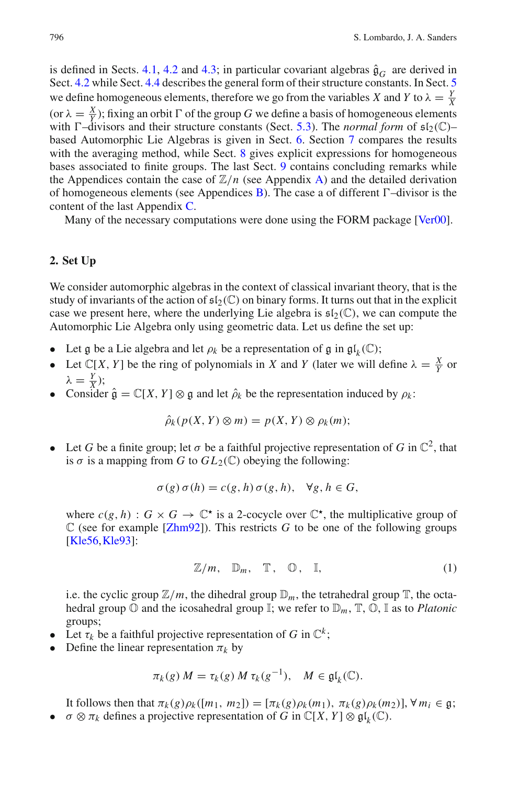is defined in Sects. [4.1,](#page-8-0) [4.2](#page-9-0) and [4.3;](#page-12-0) in particular covariant algebras  $\hat{\mathfrak{g}}_G$  are derived in Sect. [4.2](#page-9-0) while Sect. [4.4](#page-13-0) describes the general form of their structure constants. In Sect. [5](#page-15-0) we define homogeneous elements, therefore we go from the variables *X* and *Y* to  $\lambda = \frac{y}{\lambda}$ (or  $\lambda = \frac{X}{Y}$ ); fixing an orbit  $\Gamma$  of the group *G* we define a basis of homogeneous elements with  $\Gamma$ –divisors and their structure constants (Sect. [5.3\)](#page-17-0). The *normal form* of  $\mathfrak{sl}_2(\mathbb{C})$ – based Automorphic Lie Algebras is given in Sect. [6.](#page-19-0) Section [7](#page-22-0) compares the results with the averaging method, while Sect. [8](#page-23-0) gives explicit expressions for homogeneous bases associated to finite groups. The last Sect. [9](#page-25-0) contains concluding remarks while the Appendices contain the case of  $\mathbb{Z}/n$  (see Appendix [A\)](#page-26-0) and the detailed derivation of homogeneous elements (see Appendices [B\)](#page-26-1). The case a of different  $\Gamma$ –divisor is the content of the last Appendix [C.](#page-27-0)

Many of the necessary computations were done using the FORM package [\[Ver00\]](#page-31-7).

#### **2. Set Up**

We consider automorphic algebras in the context of classical invariant theory, that is the study of invariants of the action of  $\mathfrak{sl}_2(\mathbb{C})$  on binary forms. It turns out that in the explicit case we present here, where the underlying Lie algebra is  $\mathfrak{sl}_2(\mathbb{C})$ , we can compute the Automorphic Lie Algebra only using geometric data. Let us define the set up:

- Let g be a Lie algebra and let  $\rho_k$  be a representation of g in  $\mathfrak{gl}_k(\mathbb{C})$ ;
- Let  $\mathbb{C}[X, Y]$  be the ring of polynomials in *X* and *Y* (later we will define  $\lambda = \frac{X}{Y}$  or  $λ = \frac{Y}{X}$ ;
- <span id="page-4-1"></span>• Consider  $\hat{\mathfrak{g}} = \mathbb{C}[X, Y] \otimes \mathfrak{g}$  and let  $\hat{\rho}_k$  be the representation induced by  $\rho_k$ :

$$
\hat{\rho}_k(p(X, Y) \otimes m) = p(X, Y) \otimes \rho_k(m);
$$

• Let *G* be a finite group; let  $\sigma$  be a faithful projective representation of *G* in  $\mathbb{C}^2$ , that is  $\sigma$  is a mapping from *G* to  $GL_2(\mathbb{C})$  obeying the following:

$$
\sigma(g)\,\sigma(h) = c(g,h)\,\sigma(g,h), \quad \forall g, h \in G,
$$

where  $c(g, h)$ :  $G \times G \to \mathbb{C}^*$  is a 2-cocycle over  $\mathbb{C}^*$ , the multiplicative group of  $\mathbb C$  (see for example [\[Zhm92](#page-31-8)]). This restricts *G* to be one of the following groups [\[Kle56,](#page-31-9)[Kle93](#page-31-10)]:

$$
\mathbb{Z}/m, \quad \mathbb{D}_m, \quad \mathbb{T}, \quad \mathbb{O}, \quad \mathbb{I}, \tag{1}
$$

i.e. the cyclic group  $\mathbb{Z}/m$ , the dihedral group  $\mathbb{D}_m$ , the tetrahedral group  $\mathbb{T}$ , the octahedral group  $\mathbb O$  and the icosahedral group  $\mathbb I$ ; we refer to  $\mathbb D_m$ ,  $\mathbb T$ ,  $\mathbb O$ ,  $\mathbb I$  as to *Platonic* groups;

- <span id="page-4-0"></span>• Let  $\tau_k$  be a faithful projective representation of *G* in  $\mathbb{C}^k$ ;
- Define the linear representation  $\pi_k$  by

$$
\pi_k(g) M = \tau_k(g) M \tau_k(g^{-1}), \quad M \in \mathfrak{gl}_k(\mathbb{C}).
$$

It follows then that  $\pi_k(g)\rho_k([m_1, m_2]) = [\pi_k(g)\rho_k(m_1), \pi_k(g)\rho_k(m_2)], \forall m_i \in \mathfrak{g};$ •  $\sigma \otimes \pi_k$  defines a projective representation of *G* in  $\mathbb{C}[X, Y] \otimes \mathfrak{gl}_k(\mathbb{C})$ .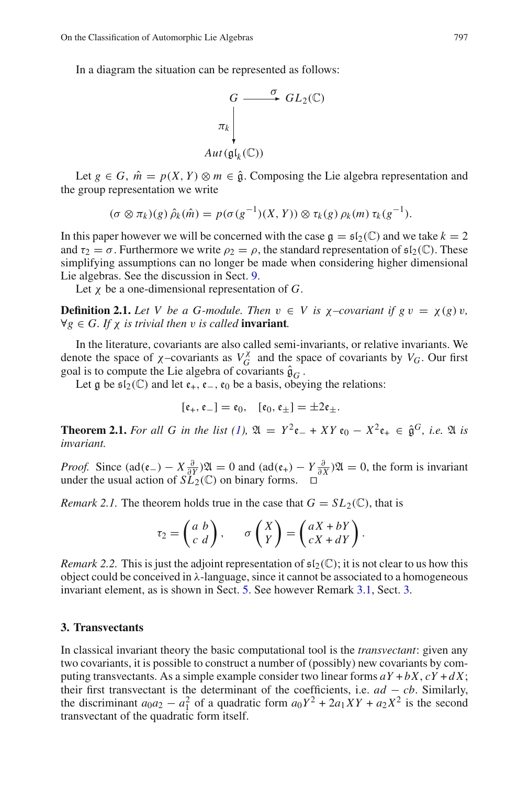In a diagram the situation can be represented as follows:



Let  $g \in G$ ,  $\hat{m} = p(X, Y) \otimes m \in \hat{g}$ . Composing the Lie algebra representation and the group representation we write

$$
(\sigma \otimes \pi_k)(g) \hat{\rho}_k(\hat{m}) = p(\sigma(g^{-1})(X, Y)) \otimes \tau_k(g) \rho_k(m) \tau_k(g^{-1}).
$$

In this paper however we will be concerned with the case  $\mathfrak{g} = \mathfrak{sl}_2(\mathbb{C})$  and we take  $k = 2$ and  $\tau_2 = \sigma$ . Furthermore we write  $\rho_2 = \rho$ , the standard representation of  $\mathfrak{sl}_2(\mathbb{C})$ . These simplifying assumptions can no longer be made when considering higher dimensional Lie algebras. See the discussion in Sect. [9.](#page-25-0)

Let χ be a one-dimensional representation of *G*.

**Definition 2.1.** Let V be a G-module. Then  $v \in V$  is  $\chi$ -covariant if  $g v = \chi(g) v$ ,  $\forall g \in G$ *. If*  $\chi$  *is trivial then v is called* **invariant***.* 

In the literature, covariants are also called semi-invariants, or relative invariants. We denote the space of  $\chi$ -covariants as  $V_G^{\chi}$  $V_G^{\lambda}$  and the space of covariants by  $V_G$ . Our first goal is to compute the Lie algebra of covariants  $\hat{\mathfrak{g}}_G$ .

Let  $\frak{g}$  be  $\frak{sl}_2(\mathbb{C})$  and let  $\frak{e}_+, \frak{e}_-, \frak{e}_0$  be a basis, obeying the relations:

$$
[\mathfrak{e}_+,\mathfrak{e}_-]=\mathfrak{e}_0,\quad [\mathfrak{e}_0,\mathfrak{e}_\pm]=\pm 2\mathfrak{e}_\pm.
$$

**Theorem 2.1.** *For all G in the list (1)*,  $\mathfrak{A} = Y^2 \mathfrak{e}_- + XY \mathfrak{e}_0 - X^2 \mathfrak{e}_+ \in \hat{\mathfrak{g}}^G$ , *i.e.*  $\mathfrak{A}$  *is invariant.*

<span id="page-5-2"></span>*Proof.* Since  $(\text{ad}(\varepsilon_{-}) - X\frac{\partial}{\partial Y})\mathfrak{A} = 0$  and  $(\text{ad}(\varepsilon_{+}) - Y\frac{\partial}{\partial X})\mathfrak{A} = 0$ , the form is invariant under the usual action of  $SL_2(\mathbb{C})$  on binary forms. □

*Remark 2.1.* The theorem holds true in the case that  $G = SL_2(\mathbb{C})$ , that is

$$
\tau_2 = \begin{pmatrix} a & b \\ c & d \end{pmatrix}, \qquad \sigma \begin{pmatrix} X \\ Y \end{pmatrix} = \begin{pmatrix} aX + bY \\ cX + dY \end{pmatrix}.
$$

*Remark 2.2.* This is just the adjoint representation of  $\mathfrak{sl}_2(\mathbb{C})$ ; it is not clear to us how this object could be conceived in  $\lambda$ -language, since it cannot be associated to a homogeneous invariant element, as is shown in Sect. [5.](#page-15-0) See however Remark [3.1,](#page-5-0) Sect. [3.](#page-4-0)

#### <span id="page-5-0"></span>**3. Transvectants**

<span id="page-5-1"></span>In classical invariant theory the basic computational tool is the *transvectant*: given any two covariants, it is possible to construct a number of (possibly) new covariants by computing transvectants. As a simple example consider two linear forms  $aY + bX$ ,  $cY + dX$ ; their first transvectant is the determinant of the coefficients, i.e.  $ad - cb$ . Similarly, the discriminant  $a_0a_2 - a_1^2$  of a quadratic form  $a_0Y^2 + 2a_1XY + a_2X^2$  is the second transvectant of the quadratic form itself.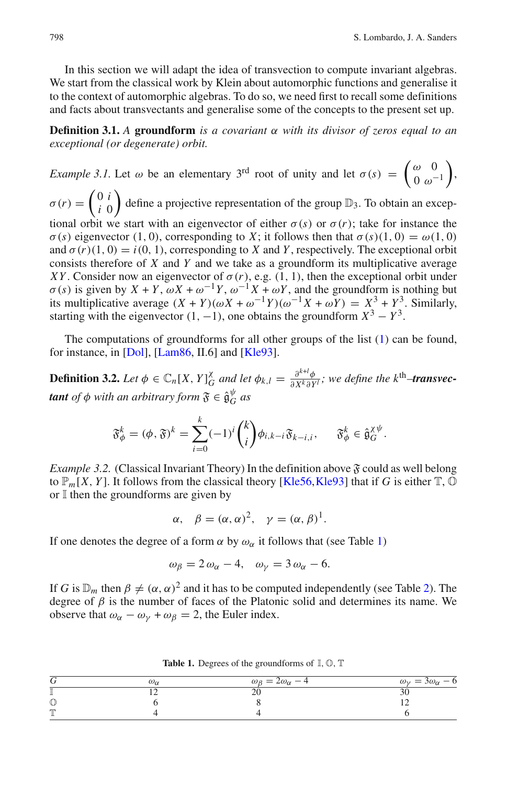<span id="page-6-0"></span>In this section we will adapt the idea of transvection to compute invariant algebras. We start from the classical work by Klein about automorphic functions and generalise it to the context of automorphic algebras. To do so, we need first to recall some definitions and facts about transvectants and generalise some of the concepts to the present set up.

<span id="page-6-1"></span>**Definition 3.1.** *A* **groundform** *is a covariant* α *with its divisor of zeros equal to an exceptional (or degenerate) orbit.*

<span id="page-6-2"></span>*Example 3.1.* Let  $\omega$  be an elementary 3<sup>rd</sup> root of unity and let  $\sigma(s) = \begin{pmatrix} \omega & 0 \\ 0 & \omega^{-1} \end{pmatrix}$  $0 \omega^{-1}$  $\bigg)$  $\sigma(r) = \begin{pmatrix} 0 & i \\ i & 0 \end{pmatrix}$ *i* 0 define a projective representation of the group  $\mathbb{D}_3$ . To obtain an exceptional orbit we start with an eigenvector of either  $\sigma(s)$  or  $\sigma(r)$ ; take for instance the  $\sigma(s)$  eigenvector (1, 0), corresponding to *X*; it follows then that  $\sigma(s)(1, 0) = \omega(1, 0)$ and  $\sigma(r)(1, 0) = i(0, 1)$ , corresponding to *X* and *Y*, respectively. The exceptional orbit consists therefore of *X* and *Y* and we take as a groundform its multiplicative average *XY*. Consider now an eigenvector of  $\sigma(r)$ , e.g. (1, 1), then the exceptional orbit under  $\sigma(s)$  is given by  $X + Y$ ,  $\omega X + \omega^{-1}Y$ ,  $\omega^{-1}X + \omega Y$ , and the groundform is nothing but its multiplicative average  $(X + Y)(\omega X + \omega^{-1}Y)(\omega^{-1}X + \omega Y) = X^3 + Y^3$ . Similarly, starting with the eigenvector  $(1, -1)$ , one obtains the groundform  $X^3 - Y^3$ .

<span id="page-6-4"></span>The computations of groundforms for all other groups of the list [\(1\)](#page-3-1) can be found, for instance, in [\[Dol](#page-30-6)], [\[Lam86](#page-31-11), II.6] and [\[Kle93\]](#page-31-10).

**Definition 3.2.** *Let*  $\phi \in \mathbb{C}_n[X, Y]_G^{\chi}$  $\frac{\partial}{\partial G}$  and let  $\phi_{k,l} = \frac{\partial^{k+l} \phi}{\partial X^k \partial Y}$  $\frac{\partial^{k+i} \phi}{\partial X^k \partial Y^l}$ ; we define the k<sup>th</sup>–**transvectant** of  $\phi$  with an arbitrary form  $\mathfrak{F} \in \hat{\mathfrak{g}}_G^{\psi}$  $\int_{G}^{\varphi}$  *as* 

$$
\mathfrak{F}_{\phi}^{k} = (\phi, \mathfrak{F})^{k} = \sum_{i=0}^{k} (-1)^{i} {k \choose i} \phi_{i,k-i} \mathfrak{F}_{k-i,i}, \quad \mathfrak{F}_{\phi}^{k} \in \hat{\mathfrak{g}}_{G}^{\chi \psi}.
$$

*Example 3.2.* (Classical Invariant Theory) In the definition above  $\mathfrak F$  could as well belong to  $\mathbb{P}_m[X, Y]$ . It follows from the classical theory [\[Kle56,](#page-31-9) [Kle93](#page-31-10)] that if *G* is either  $\mathbb{T}, \mathbb{O}$ or  $\mathbb I$  then the groundforms are given by

$$
\alpha
$$
,  $\beta = (\alpha, \alpha)^2$ ,  $\gamma = (\alpha, \beta)^1$ .

<span id="page-6-3"></span>If one denotes the degree of a form  $\alpha$  by  $\omega_{\alpha}$  it follows that (see Table [1\)](#page-5-1)

$$
\omega_{\beta} = 2 \omega_{\alpha} - 4, \quad \omega_{\gamma} = 3 \omega_{\alpha} - 6.
$$

If *G* is  $\mathbb{D}_m$  then  $\beta \neq (\alpha, \alpha)^2$  and it has to be computed independently (see Table [2\)](#page-6-0). The degree of  $\beta$  is the number of faces of the Platonic solid and determines its name. We observe that  $\omega_{\alpha} - \omega_{\gamma} + \omega_{\beta} = 2$ , the Euler index.

|              | ωω | $\omega_{\beta} = 2\omega_{\alpha} - 4$ | $\omega_{\gamma} = 3\omega_{\alpha} - 6$ |
|--------------|----|-----------------------------------------|------------------------------------------|
|              |    |                                         |                                          |
| U            |    |                                         |                                          |
| <b>PTT'S</b> |    |                                         |                                          |

**Table 1.** Degrees of the groundforms of  $\mathbb{I}, \mathbb{O}, \mathbb{T}$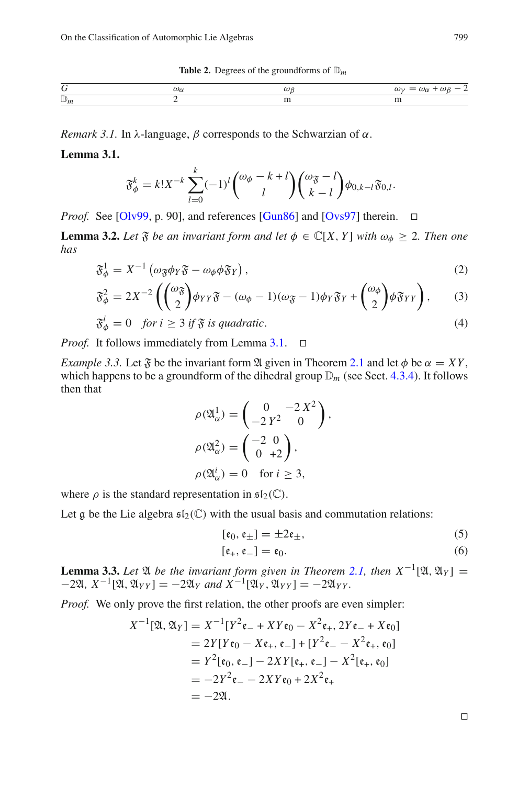**Table 2.** Degrees of the groundforms of  $\mathbb{D}_m$ 

<span id="page-7-1"></span>

|                |  | ,,, |
|----------------|--|-----|
| $\mathbb{D}_n$ |  | .   |

*Remark 3.1.* In  $\lambda$ -language,  $\beta$  corresponds to the Schwarzian of  $\alpha$ .

**Lemma 3.1.**

$$
\mathfrak{F}_{\phi}^{k} = k! X^{-k} \sum_{l=0}^{k} (-1)^{l} {\omega_{\phi} - k + l \choose l} {\omega_{\mathfrak{F}} - l \choose k - l} \phi_{0,k-l} \mathfrak{F}_{0,l}.
$$

*Proof.* See [\[Olv99](#page-31-12), p. 90], and references [\[Gun86](#page-31-13)] and [\[Ovs97](#page-31-14)] therein. □

<span id="page-7-2"></span>**Lemma 3.2.** *Let*  $\mathfrak{F}$  *be an invariant form and let*  $\phi \in \mathbb{C}[X, Y]$  *with*  $\omega_{\phi} \geq 2$ *. Then one has*

$$
\mathfrak{F}_{\phi}^{1} = X^{-1} \left( \omega_{\mathfrak{F}} \phi_{Y} \mathfrak{F} - \omega_{\phi} \phi \mathfrak{F}_{Y} \right), \tag{2}
$$

$$
\mathfrak{F}_{\phi}^{2} = 2X^{-2} \left( \binom{\omega_{\mathfrak{F}}}{2} \phi_{YY} \mathfrak{F} - (\omega_{\phi} - 1)(\omega_{\mathfrak{F}} - 1) \phi_{Y} \mathfrak{F}_{Y} + \binom{\omega_{\phi}}{2} \phi \mathfrak{F}_{YY} \right), \qquad (3)
$$

$$
\mathfrak{F}_{\phi}^{i} = 0 \quad \text{for } i \geq 3 \text{ if } \mathfrak{F} \text{ is quadratic.} \tag{4}
$$

*Proof.* It follows immediately from Lemma [3.1.](#page-6-1) □

*Example 3.3.* Let  $\mathfrak F$  be the invariant form  $\mathfrak A$  given in Theorem [2.1](#page-4-1) and let  $\phi$  be  $\alpha = XY$ , which happens to be a groundform of the dihedral group  $\mathbb{D}_m$  (see Sect. [4.3.4\)](#page-13-1). It follows then that  $\sim$ 

$$
\rho(\mathfrak{A}_{\alpha}^{1}) = \begin{pmatrix} 0 & -2X^{2} \\ -2Y^{2} & 0 \end{pmatrix},
$$

$$
\rho(\mathfrak{A}_{\alpha}^{2}) = \begin{pmatrix} -2 & 0 \\ 0 & +2 \end{pmatrix},
$$

$$
\rho(\mathfrak{A}_{\alpha}^{i}) = 0 \text{ for } i \geq 3,
$$

where  $\rho$  is the standard representation in  $\mathfrak{sl}_2(\mathbb{C})$ .

<span id="page-7-0"></span>Let g be the Lie algebra  $\mathfrak{sl}_2(\mathbb{C})$  with the usual basis and commutation relations:

$$
[\mathfrak{e}_0, \mathfrak{e}_\pm] = \pm 2\mathfrak{e}_\pm,\tag{5}
$$

$$
[\mathfrak{e}_+,\mathfrak{e}_-]=\mathfrak{e}_0.\tag{6}
$$

**Lemma 3.3.** *Let*  $\mathfrak{A}$  *be the invariant form given in Theorem [2.1,](#page-4-1) then*  $X^{-1}[\mathfrak{A}, \mathfrak{A}_Y] =$  $-2\mathfrak{A}, X^{-1}[\mathfrak{A}, \mathfrak{A}_{YY}] = -2\mathfrak{A}_Y$  *and*  $X^{-1}[\mathfrak{A}_Y, \mathfrak{A}_{YY}] = -2\mathfrak{A}_{YY}.$ 

*Proof.* We only prove the first relation, the other proofs are even simpler:

$$
X^{-1}[\mathfrak{A}, \mathfrak{A}_Y] = X^{-1}[Y^2 \mathfrak{e}_- + XY \mathfrak{e}_0 - X^2 \mathfrak{e}_+, 2Y \mathfrak{e}_- + X \mathfrak{e}_0]
$$
  
=  $2Y[Y\mathfrak{e}_0 - X\mathfrak{e}_+, \mathfrak{e}_-] + [Y^2 \mathfrak{e}_- - X^2 \mathfrak{e}_+, \mathfrak{e}_0]$   
=  $Y^2[\mathfrak{e}_0, \mathfrak{e}_-] - 2XY[\mathfrak{e}_+, \mathfrak{e}_-] - X^2[\mathfrak{e}_+, \mathfrak{e}_0]$   
=  $-2Y^2 \mathfrak{e}_- - 2XY\mathfrak{e}_0 + 2X^2 \mathfrak{e}_+$   
=  $-2\mathfrak{A}.$ 

⊓⊔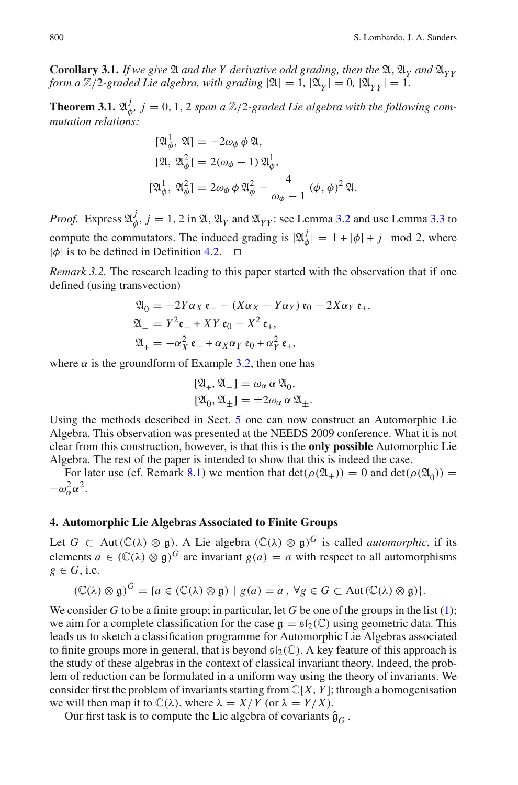<span id="page-8-0"></span>**Corollary 3.1.** *If we give*  $\mathfrak A$  *and the Y* derivative odd grading, then the  $\mathfrak A$ ,  $\mathfrak A_Y$  *and*  $\mathfrak A_{YY}$ *form a*  $\mathbb{Z}/2$ -graded Lie algebra, with grading  $|\mathfrak{A}| = 1$ ,  $|\mathfrak{A}_Y| = 0$ ,  $|\mathfrak{A}_{YY}| = 1$ .

**Theorem 3.1.**  $\mathfrak{A}_d^j$  $\psi^J_{\phi}$ ,  $j = 0, 1, 2$  span a  $\mathbb{Z}/2$ -graded Lie algebra with the following com*mutation relations:*

$$
\begin{aligned} [\mathfrak{A}_{\phi}^1, \, \mathfrak{A}] &= -2\omega_{\phi} \, \phi \, \mathfrak{A}, \\ [\mathfrak{A}, \, \mathfrak{A}_{\phi}^2] &= 2(\omega_{\phi} - 1) \, \mathfrak{A}_{\phi}^1, \\ [\mathfrak{A}_{\phi}^1, \, \mathfrak{A}_{\phi}^2] &= 2\omega_{\phi} \, \phi \, \mathfrak{A}_{\phi}^2 - \frac{4}{\omega_{\phi} - 1} \, (\phi, \phi)^2 \, \mathfrak{A}. \end{aligned}
$$

<span id="page-8-1"></span>*Proof.* Express  $\mathfrak{A}_d^j$  $\psi^j_{\phi}$ ,  $j = 1, 2$  in  $\mathfrak{A}, \mathfrak{A}_Y$  and  $\mathfrak{A}_{YY}$ : see Lemma [3.2](#page-6-2) and use Lemma [3.3](#page-6-3) to compute the commutators. The induced grading is  $|\mathfrak{A}_{q}^{j}\rangle$  $|\psi_{\phi}| = 1 + |\phi| + j \mod 2$ , where |φ| is to be defined in Definition [4.2.](#page-9-1) ⊓⊔

<span id="page-8-2"></span>*Remark 3.2.* The research leading to this paper started with the observation that if one defined (using transvection)

$$
\mathfrak{A}_0 = -2Y\alpha_X \mathfrak{e}_- - (X\alpha_X - Y\alpha_Y) \mathfrak{e}_0 - 2X\alpha_Y \mathfrak{e}_+, \n\mathfrak{A}_- = Y^2 \mathfrak{e}_- + XY \mathfrak{e}_0 - X^2 \mathfrak{e}_+, \n\mathfrak{A}_+ = -\alpha_X^2 \mathfrak{e}_- + \alpha_X \alpha_Y \mathfrak{e}_0 + \alpha_Y^2 \mathfrak{e}_+,
$$

where  $\alpha$  is the groundform of Example [3.2,](#page-5-2) then one has

$$
[\mathfrak{A}_{+}, \mathfrak{A}_{-}] = \omega_{\alpha} \alpha \mathfrak{A}_{0},
$$
  

$$
[\mathfrak{A}_{0}, \mathfrak{A}_{\pm}] = \pm 2\omega_{\alpha} \alpha \mathfrak{A}_{\pm}.
$$

Using the methods described in Sect. [5](#page-15-0) one can now construct an Automorphic Lie Algebra. This observation was presented at the NEEDS 2009 conference. What it is not clear from this construction, however, is that this is the **only possible** Automorphic Lie Algebra. The rest of the paper is intended to show that this is indeed the case.

For later use (cf. Remark [8.1\)](#page-25-1) we mention that  $\det(\rho(\mathfrak{A}_{\pm})) = 0$  and  $\det(\rho(\mathfrak{A}_{0})) =$  $-\omega_\alpha^2\alpha^2$ .

#### **4. Automorphic Lie Algebras Associated to Finite Groups**

Let *G* ⊂ Aut( $\mathbb{C}(\lambda) \otimes \mathfrak{g}$ ). A Lie algebra ( $\mathbb{C}(\lambda) \otimes \mathfrak{g}$ )<sup>*G*</sup> is called *automorphic*, if its elements  $a \in (\mathbb{C}(\lambda) \otimes \mathfrak{g})^G$  are invariant  $g(a) = a$  with respect to all automorphisms  $g \in G$ , i.e.

$$
(\mathbb{C}(\lambda) \otimes \mathfrak{g})^G = \{ a \in (\mathbb{C}(\lambda) \otimes \mathfrak{g}) \mid g(a) = a, \forall g \in G \subset \text{Aut}(\mathbb{C}(\lambda) \otimes \mathfrak{g}) \}.
$$

We consider *G* to be a finite group; in particular, let *G* be one of the groups in the list  $(1)$ ; we aim for a complete classification for the case  $\mathfrak{g} = \mathfrak{sl}_2(\mathbb{C})$  using geometric data. This leads us to sketch a classification programme for Automorphic Lie Algebras associated to finite groups more in general, that is beyond  $\mathfrak{sl}_2(\mathbb{C})$ . A key feature of this approach is the study of these algebras in the context of classical invariant theory. Indeed, the problem of reduction can be formulated in a uniform way using the theory of invariants. We consider first the problem of invariants starting from <sup>C</sup>[*X*, *<sup>Y</sup>* ]; through a homogenisation we will then map it to  $\mathbb{C}(\lambda)$ , where  $\lambda = X/Y$  (or  $\lambda = Y/X$ ).

Our first task is to compute the Lie algebra of covariants  $\hat{\mathfrak{g}}_G$ .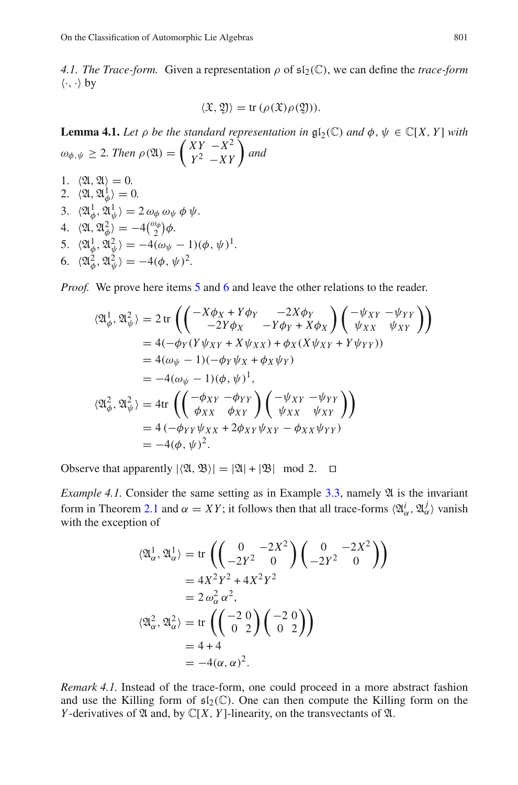<span id="page-9-0"></span>*4.1. The Trace-form.* Given a representation  $\rho$  of  $\mathfrak{sl}_2(\mathbb{C})$ , we can define the *trace-form*  $\langle \cdot, \cdot \rangle$  by

$$
\langle \mathfrak{X}, \mathfrak{Y} \rangle = \text{tr}\, (\rho(\mathfrak{X}) \rho(\mathfrak{Y})).
$$

**Lemma 4.1.** *Let*  $\rho$  *be the standard representation in*  $\mathfrak{gl}_2(\mathbb{C})$  *and*  $\phi$ ,  $\psi \in \mathbb{C}[X, Y]$  *with*  $\omega_{\phi, \psi} \geq 2$ . Then  $\rho(\mathfrak{A}) = \begin{pmatrix} XY & -X^2 \\ Y^2 & -XY \end{pmatrix}$  $\left(\begin{array}{cc} XY & -X^2 \ Y^2 & -XY \end{array}\right)$  and

1.  $\langle \mathfrak{A}, \mathfrak{A} \rangle = 0.$ 2.  $\langle \mathfrak{A}, \mathfrak{A}_{\phi}^1 \rangle = 0.$ 3.  $\langle \mathfrak{A}_{\phi}^1, \mathfrak{A}_{\psi}^1 \rangle = 2 \omega_{\phi} \omega_{\psi} \phi \psi.$ 4.  $\langle \mathfrak{A}, \mathfrak{A}_{\phi}^2 \rangle = -4 \binom{\omega_{\phi}}{2} \phi.$  $\phi'$   $\bar{ }$   $\tau$  (2) 5.  $\langle \mathfrak{A}_{\phi}^1, \mathfrak{A}_{\psi}^2 \rangle = -4(\omega_{\psi} - 1)(\phi, \psi)^1.$ 6.  $\langle \mathfrak{A}_{\phi}^2, \mathfrak{A}_{\psi}^2 \rangle = -4(\phi, \psi)^2$ .

<span id="page-9-2"></span>*Proof.* We prove here items [5](#page-8-1) and [6](#page-8-2) and leave the other relations to the reader.

$$
\langle \mathfrak{A}_{\phi}^{1}, \mathfrak{A}_{\psi}^{2} \rangle = 2 \operatorname{tr} \left( \left( \begin{array}{cc} -X\phi_{X} + Y\phi_{Y} & -2X\phi_{Y} \\ -2Y\phi_{X} & -Y\phi_{Y} + X\phi_{X} \end{array} \right) \left( \begin{array}{cc} -\psi_{XY} & -\psi_{YY} \\ \psi_{XX} & \psi_{XY} \end{array} \right) \right)
$$
  
\n= 4(-\phi\_{Y}(Y\psi\_{XY} + X\psi\_{XX}) + \phi\_{X}(X\psi\_{XY} + Y\psi\_{YY}))  
\n= 4(\omega\_{\psi} - 1)(-\phi\_{Y}\psi\_{X} + \phi\_{X}\psi\_{Y})  
\n= -4(\omega\_{\psi} - 1)(\phi, \psi)^{1},  
\n\langle \mathfrak{A}\_{\phi}^{2}, \mathfrak{A}\_{\psi}^{2} \rangle = 4 \operatorname{tr} \left( \left( \begin{array}{cc} -\phi\_{XY} & -\phi\_{YY} \\ \phi\_{XX} & \phi\_{XY} \end{array} \right) \left( \begin{array}{cc} -\psi\_{XY} & -\psi\_{YY} \\ \psi\_{XX} & \psi\_{XY} \end{array} \right) \right)  
\n= 4(-\phi\_{YY}\psi\_{XX} + 2\phi\_{XY}\psi\_{XY} - \phi\_{XX}\psi\_{YY})  
\n= -4(\phi, \psi)^{2}.

Observe that apparently  $|\langle \mathfrak{A}, \mathfrak{B} \rangle| = |\mathfrak{A}| + |\mathfrak{B}| \mod 2$ . □

*Example 4.1.* Consider the same setting as in Example  $3.3$ , namely  $\mathfrak A$  is the invariant form in Theorem [2.1](#page-4-1) and  $\alpha = XY$ ; it follows then that all trace-forms  $\langle \mathfrak{A}_{\alpha}^{i}, \mathfrak{A}_{\alpha}^{j} \rangle$  vanish with the exception of

$$
\langle \mathfrak{A}_{\alpha}^{1}, \mathfrak{A}_{\alpha}^{1} \rangle = \text{tr}\left( \begin{pmatrix} 0 & -2X^{2} \\ -2Y^{2} & 0 \end{pmatrix} \begin{pmatrix} 0 & -2X^{2} \\ -2Y^{2} & 0 \end{pmatrix} \right)
$$
  
=  $4X^{2}Y^{2} + 4X^{2}Y^{2}$   
=  $2\omega_{\alpha}^{2}\alpha^{2}$ ,  

$$
\langle \mathfrak{A}_{\alpha}^{2}, \mathfrak{A}_{\alpha}^{2} \rangle = \text{tr}\left( \begin{pmatrix} -2 & 0 \\ 0 & 2 \end{pmatrix} \begin{pmatrix} -2 & 0 \\ 0 & 2 \end{pmatrix} \right)
$$
  
=  $4 + 4$   
=  $-4(\alpha, \alpha)^{2}$ .

<span id="page-9-1"></span>*Remark 4.1.* Instead of the trace-form, one could proceed in a more abstract fashion and use the Killing form of  $\mathfrak{sl}_2(\mathbb{C})$ . One can then compute the Killing form on the *Y*-derivatives of  $\mathfrak A$  and, by  $\mathbb C[X, Y]$ -linearity, on the transvectants of  $\mathfrak A$ .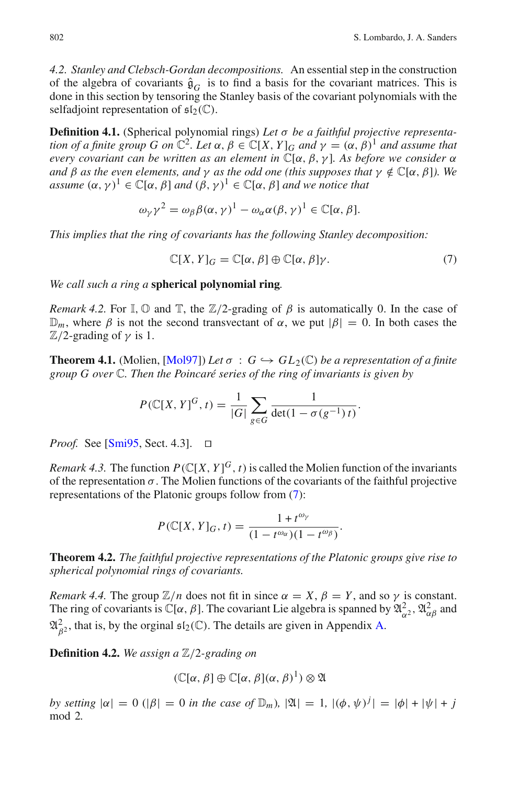*4.2. Stanley and Clebsch-Gordan decompositions.* An essential step in the construction of the algebra of covariants  $\hat{\mathfrak{g}}_G$  is to find a basis for the covariant matrices. This is done in this section by tensoring the Stanley basis of the covariant polynomials with the selfadjoint representation of  $\mathfrak{sl}_2(\mathbb{C})$ .

<span id="page-10-0"></span>**Definition 4.1.** (Spherical polynomial rings) Let σ be a faithful projective representa*tion of a finite group G on*  $\mathbb{C}^2$ *. Let*  $\alpha$ ,  $\beta \in \mathbb{C}[X, Y]_G$  *and*  $\gamma = (\alpha, \beta)^1$  *and assume that every covariant can be written as an element in* <sup>C</sup>[α, β, γ ]*. As before we consider* <sup>α</sup> *and*  $\beta$  *as the even elements, and*  $\gamma$  *as the odd one (this supposes that*  $\gamma \notin \mathbb{C}[\alpha, \beta]$ *). We assume*  $(\alpha, \gamma)^1 \in \mathbb{C}[\alpha, \beta]$  *and*  $(\beta, \gamma)^1 \in \mathbb{C}[\alpha, \beta]$  *and we notice that* 

$$
\omega_{\gamma}\gamma^2 = \omega_{\beta}\beta(\alpha,\gamma)^1 - \omega_{\alpha}\alpha(\beta,\gamma)^1 \in \mathbb{C}[\alpha,\beta].
$$

*This implies that the ring of covariants has the following Stanley decomposition:*

$$
\mathbb{C}[X,Y]_G = \mathbb{C}[\alpha,\beta] \oplus \mathbb{C}[\alpha,\beta]\gamma.
$$
 (7)

*We call such a ring a* **spherical polynomial ring***.*

*Remark 4.2.* For  $\mathbb{I}, \mathbb{O}$  and  $\mathbb{T}$ , the  $\mathbb{Z}/2$ -grading of  $\beta$  is automatically 0. In the case of  $\mathbb{D}_m$ , where  $\beta$  is not the second transvectant of  $\alpha$ , we put  $|\beta| = 0$ . In both cases the  $\mathbb{Z}/2$ -grading of  $\nu$  is 1.

**Theorem 4.1.** (Molien,  $[Mol97]$ ) *Let*  $\sigma : G \hookrightarrow GL_2(\mathbb{C})$  *be a representation of a finite group G over* C*. Then the Poincaré series of the ring of invariants is given by*

$$
P(\mathbb{C}[X, Y]^G, t) = \frac{1}{|G|} \sum_{g \in G} \frac{1}{\det(1 - \sigma(g^{-1})t)}.
$$

*Proof.* See [\[Smi95,](#page-31-16) Sect. 4.3]. □

*Remark 4.3.* The function  $P(\mathbb{C}[X, Y]^G, t)$  is called the Molien function of the invariants of the representation  $\sigma$ . The Molien functions of the covariants of the faithful projective representations of the Platonic groups follow from [\(7\)](#page-9-2):

$$
P(\mathbb{C}[X, Y]_G, t) = \frac{1 + t^{\omega_Y}}{(1 - t^{\omega_\alpha})(1 - t^{\omega_\beta})}.
$$

**Theorem 4.2.** *The faithful projective representations of the Platonic groups give rise to spherical polynomial rings of covariants.*

*Remark 4.4.* The group  $\mathbb{Z}/n$  does not fit in since  $\alpha = X$ ,  $\beta = Y$ , and so  $\gamma$  is constant. The ring of covariants is  $\mathbb{C}[\alpha, \beta]$ . The covariant Lie algebra is spanned by  $\mathfrak{A}^2_{\alpha^2}, \mathfrak{A}^2_{\alpha\beta}$  and  $\mathfrak{A}_{\beta^2}^2$ , that is, by the orginal  $\mathfrak{sl}_2(\mathbb{C})$ . The details are given in Appendix [A.](#page-26-0)

**Definition 4.2.** *We assign a* Z/2*-grading on*

$$
(\mathbb{C}[\alpha,\beta]\oplus\mathbb{C}[\alpha,\beta](\alpha,\beta)^{1})\otimes\mathfrak{A}
$$

*by setting*  $|\alpha| = 0$  ( $|\beta| = 0$  *in the case of*  $\mathbb{D}_m$ ),  $|\mathfrak{A}| = 1$ ,  $|(\phi, \psi)^j| = |\phi| + |\psi| + j$ mod 2*.*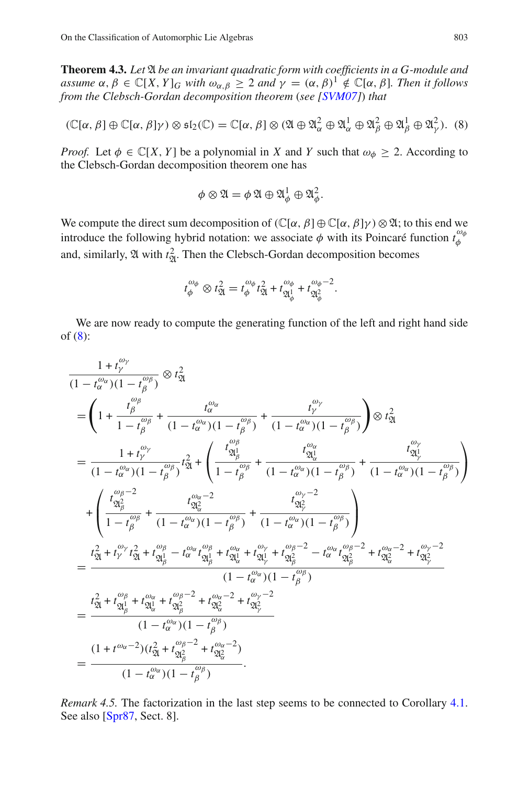**Theorem 4.3.** Let  $\mathfrak A$  *be an invariant quadratic form with coefficients in a G-module and assume*  $\alpha, \beta \in \mathbb{C}[X, Y]_G$  *with*  $\omega_{\alpha, \beta} \geq 2$  *and*  $\gamma = (\alpha, \beta)^1 \notin \mathbb{C}[\alpha, \beta]$ *. Then it follows from the Clebsch-Gordan decomposition theorem* (*see [\[SVM07\]](#page-31-17)*) *that*

$$
(\mathbb{C}[\alpha,\beta]\oplus\mathbb{C}[\alpha,\beta]\gamma)\otimes\mathfrak{sl}_2(\mathbb{C})=\mathbb{C}[\alpha,\beta]\otimes(\mathfrak{A}\oplus\mathfrak{A}_{\alpha}^2\oplus\mathfrak{A}_{\alpha}^1\oplus\mathfrak{A}_{\beta}^2\oplus\mathfrak{A}_{\beta}^1\oplus\mathfrak{A}_{\gamma}^2).
$$
 (8)

*Proof.* Let  $\phi \in \mathbb{C}[X, Y]$  be a polynomial in *X* and *Y* such that  $\omega_{\phi} \geq 2$ . According to the Clebsch-Gordan decomposition theorem one has

$$
\phi \otimes \mathfrak{A} = \phi \mathfrak{A} \oplus \mathfrak{A}_{\phi}^{1} \oplus \mathfrak{A}_{\phi}^{2}.
$$

We compute the direct sum decomposition of  $(\mathbb{C}[\alpha, \beta] \oplus \mathbb{C}[\alpha, \beta] \gamma) \otimes \mathfrak{A}$ ; to this end we introduce the following hybrid notation: we associate  $\phi$  with its Poincaré function  $t_{\phi}^{\omega_d}$ φ and, similarly,  $\mathfrak A$  with  $t_{\mathfrak A}^2$ . Then the Clebsch-Gordan decomposition becomes

$$
t_{\phi}^{\omega_{\phi}} \otimes t_{\mathfrak{A}}^{2} = t_{\phi}^{\omega_{\phi}} t_{\mathfrak{A}}^{2} + t_{\mathfrak{A}_{\phi}^{1}}^{\omega_{\phi}} + t_{\mathfrak{A}_{\phi}^{2}}^{\omega_{\phi}-2}.
$$

We are now ready to compute the generating function of the left and right hand side of  $(8)$ :

$$
\frac{1+t_{\gamma}^{\omega_{\gamma}}}{(1-t_{\alpha}^{\omega_{\alpha}})(1-t_{\beta}^{\omega_{\beta}})} \otimes t_{\mathfrak{A}}^{2}
$$
\n
$$
= \left(1 + \frac{t_{\beta}^{\omega_{\beta}}}{1-t_{\beta}^{\omega_{\beta}}} + \frac{t_{\alpha}^{\omega_{\alpha}}}{(1-t_{\alpha}^{\omega_{\alpha}})(1-t_{\beta}^{\omega_{\beta}})} + \frac{t_{\gamma}^{\omega_{\gamma}}}{(1-t_{\alpha}^{\omega_{\alpha}})(1-t_{\beta}^{\omega_{\beta}})}\right) \otimes t_{\mathfrak{A}}^{2}
$$
\n
$$
= \frac{1+t_{\gamma}^{\omega_{\gamma}}}{(1-t_{\alpha}^{\omega_{\alpha}})(1-t_{\beta}^{\omega_{\beta}})}t_{\mathfrak{A}}^{2} + \left(\frac{t_{\mathfrak{A}_{\beta}}^{\omega_{\beta}}}{1-t_{\beta}^{\omega_{\beta}}} + \frac{t_{\mathfrak{A}_{\alpha}}^{\omega_{\alpha}}}{(1-t_{\alpha}^{\omega_{\alpha}})(1-t_{\beta}^{\omega_{\beta}})} + \frac{t_{\mathfrak{A}_{\gamma}}^{\omega_{\gamma}}}{(1-t_{\alpha}^{\omega_{\alpha}})(1-t_{\beta}^{\omega_{\beta}})}\right)
$$
\n
$$
+ \left(\frac{t_{\mathfrak{A}_{\beta}}^{\omega_{\beta}-2}}{1-t_{\beta}^{\omega_{\beta}}} + \frac{t_{\mathfrak{A}_{\alpha}}^{\omega_{\alpha}-2}}{1-t_{\alpha}^{\omega_{\alpha}})(1-t_{\beta}^{\omega_{\beta}}}} + \frac{t_{\mathfrak{A}_{\gamma}}^{\omega_{\gamma}-2}}{(1-t_{\alpha}^{\omega_{\alpha}})(1-t_{\beta}^{\omega_{\beta}})}\right)
$$
\n
$$
= \frac{t_{\mathfrak{A}}^{2} + t_{\gamma}^{\omega_{\gamma}} t_{\mathfrak{A}}^{2} + t_{\mathfrak{A}_{\beta}}^{\omega_{\beta}} - t_{\mathfrak{A}_{\alpha}}^{\omega_{\alpha}} t_{\mathfrak{A}_{\beta}}^{2} + t_{\mathfrak{A}_{\alpha}}^{\omega_{\gamma}-2} - t_{\alpha}^{\omega_{\alpha}} t_{\mathfrak{A}_{\beta}}^{\omega_{\beta}-2} + t_{\mathfrak
$$

<span id="page-11-0"></span>*Remark 4.5.* The factorization in the last step seems to be connected to Corollary [4.1.](#page-11-0) See also [\[Spr87](#page-31-18), Sect. 8].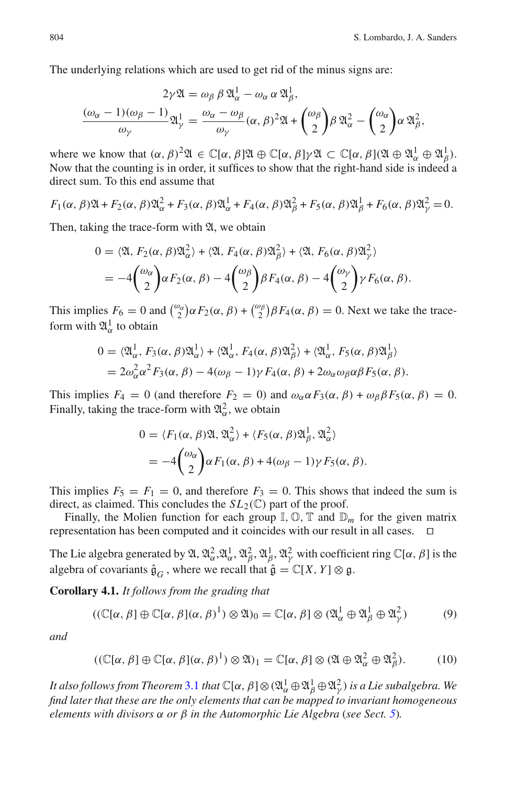<span id="page-12-0"></span>The underlying relations which are used to get rid of the minus signs are:

$$
2\gamma \mathfrak{A} = \omega_{\beta} \beta \mathfrak{A}_{\alpha}^{1} - \omega_{\alpha} \alpha \mathfrak{A}_{\beta}^{1},
$$
  

$$
\frac{(\omega_{\alpha} - 1)(\omega_{\beta} - 1)}{\omega_{\gamma}} \mathfrak{A}_{\gamma}^{1} = \frac{\omega_{\alpha} - \omega_{\beta}}{\omega_{\gamma}} (\alpha, \beta)^{2} \mathfrak{A} + {\omega_{\beta} \choose 2} \beta \mathfrak{A}_{\alpha}^{2} - {\omega_{\alpha} \choose 2} \alpha \mathfrak{A}_{\beta}^{2},
$$

where we know that  $(\alpha, \beta)^2 \mathfrak{A} \in \mathbb{C}[\alpha, \beta] \mathfrak{A} \oplus \mathbb{C}[\alpha, \beta] \gamma \mathfrak{A} \subset \mathbb{C}[\alpha, \beta] (\mathfrak{A} \oplus \mathfrak{A}_{\alpha}^1 \oplus \mathfrak{A}_{\beta}^1)$ . Now that the counting is in order, it suffices to show that the right-hand side is indeed a direct sum. To this end assume that

$$
F_1(\alpha, \beta) \mathfrak{A} + F_2(\alpha, \beta) \mathfrak{A}_{\alpha}^2 + F_3(\alpha, \beta) \mathfrak{A}_{\alpha}^1 + F_4(\alpha, \beta) \mathfrak{A}_{\beta}^2 + F_5(\alpha, \beta) \mathfrak{A}_{\beta}^1 + F_6(\alpha, \beta) \mathfrak{A}_{\gamma}^2 = 0.
$$

Then, taking the trace-form with  $\mathfrak{A}$ , we obtain

$$
0 = \langle \mathfrak{A}, F_2(\alpha, \beta) \mathfrak{A}_{\alpha}^2 \rangle + \langle \mathfrak{A}, F_4(\alpha, \beta) \mathfrak{A}_{\beta}^2 \rangle + \langle \mathfrak{A}, F_6(\alpha, \beta) \mathfrak{A}_{\gamma}^2 \rangle
$$
  
= 
$$
-4 \binom{\omega_{\alpha}}{2} \alpha F_2(\alpha, \beta) - 4 \binom{\omega_{\beta}}{2} \beta F_4(\alpha, \beta) - 4 \binom{\omega_{\gamma}}{2} \gamma F_6(\alpha, \beta).
$$

This implies  $F_6 = 0$  and  $\binom{\omega_\alpha}{2} \alpha F_2(\alpha, \beta) + \binom{\omega_\beta}{2} \beta F_4(\alpha, \beta) = 0$ . Next we take the traceform with  $\mathfrak{A}^1_\alpha$  to obtain

$$
0 = \langle \mathfrak{A}_{\alpha}^{1}, F_{3}(\alpha, \beta) \mathfrak{A}_{\alpha}^{1} \rangle + \langle \mathfrak{A}_{\alpha}^{1}, F_{4}(\alpha, \beta) \mathfrak{A}_{\beta}^{2} \rangle + \langle \mathfrak{A}_{\alpha}^{1}, F_{5}(\alpha, \beta) \mathfrak{A}_{\beta}^{1} \rangle
$$
  
=  $2\omega_{\alpha}^{2} \alpha^{2} F_{3}(\alpha, \beta) - 4(\omega_{\beta} - 1) \gamma F_{4}(\alpha, \beta) + 2\omega_{\alpha} \omega_{\beta} \alpha \beta F_{5}(\alpha, \beta).$ 

This implies  $F_4 = 0$  (and therefore  $F_2 = 0$ ) and  $\omega_\alpha \alpha F_3(\alpha, \beta) + \omega_\beta \beta F_5(\alpha, \beta) = 0$ . Finally, taking the trace-form with  $\mathfrak{A}^2_{\alpha}$ , we obtain

$$
0 = \langle F_1(\alpha, \beta) \mathfrak{A}, \mathfrak{A}_{\alpha}^2 \rangle + \langle F_5(\alpha, \beta) \mathfrak{A}_{\beta}^1, \mathfrak{A}_{\alpha}^2 \rangle
$$
  
= 
$$
-4 \binom{\omega_{\alpha}}{2} \alpha F_1(\alpha, \beta) + 4(\omega_{\beta} - 1) \gamma F_5(\alpha, \beta).
$$

This implies  $F_5 = F_1 = 0$ , and therefore  $F_3 = 0$ . This shows that indeed the sum is direct, as claimed. This concludes the  $SL_2(\mathbb{C})$  part of the proof.

Finally, the Molien function for each group  $\mathbb{I}, \mathbb{O}, \mathbb{T}$  and  $\mathbb{D}_m$  for the given matrix representation has been computed and it coincides with our result in all cases. ⊓⊔

The Lie algebra generated by  $\mathfrak{A}, \mathfrak{A}_\alpha^2, \mathfrak{A}_\alpha^1, \mathfrak{A}_\beta^2, \mathfrak{A}_\beta^1, \mathfrak{A}_\gamma^2$  with coefficient ring  $\mathbb{C}[\alpha, \beta]$  is the algebra of covariants  $\hat{\mathfrak{g}}_G$ , where we recall that  $\hat{\mathfrak{g}} = \mathbb{C}[X, Y] \otimes \mathfrak{g}$ .

**Corollary 4.1.** *It follows from the grading that*

$$
((\mathbb{C}[\alpha,\beta]\oplus\mathbb{C}[\alpha,\beta](\alpha,\beta)^{1})\otimes\mathfrak{A})_{0}=\mathbb{C}[\alpha,\beta]\otimes(\mathfrak{A}_{\alpha}^{1}\oplus\mathfrak{A}_{\beta}^{1}\oplus\mathfrak{A}_{\gamma}^{2})
$$
(9)

*and*

$$
((\mathbb{C}[\alpha,\beta]\oplus\mathbb{C}[\alpha,\beta](\alpha,\beta)^{1})\otimes\mathfrak{A})_{1}=\mathbb{C}[\alpha,\beta]\otimes(\mathfrak{A}\oplus\mathfrak{A}_{\alpha}^{2}\oplus\mathfrak{A}_{\beta}^{2}).
$$
 (10)

*It also follows from Theorem* [3.1](#page-7-1) *that*  $\mathbb{C}[\alpha,\beta] \otimes (\mathfrak{A}^1_\alpha \oplus \mathfrak{A}^1_\beta \oplus \mathfrak{A}^2_\gamma)$  *is a Lie subalgebra. We find later that these are the only elements that can be mapped to invariant homogeneous elements with divisors* α *or* β *in the Automorphic Lie Algebra* (*see Sect. [5](#page-15-0)*)*.*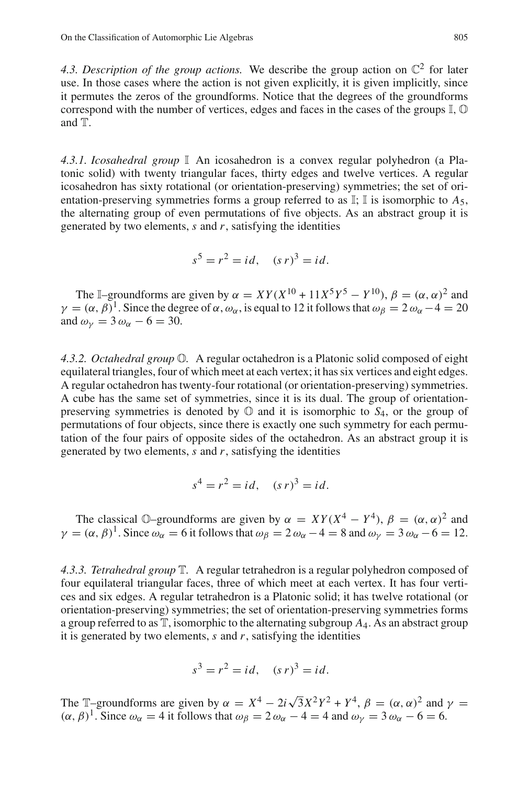<span id="page-13-1"></span>4.3. Description of the group actions. We describe the group action on  $\mathbb{C}^2$  for later use. In those cases where the action is not given explicitly, it is given implicitly, since it permutes the zeros of the groundforms. Notice that the degrees of the groundforms correspond with the number of vertices, edges and faces in the cases of the groups I, O and T.

*4.3.1. Icosahedral group* I An icosahedron is a convex regular polyhedron (a Platonic solid) with twenty triangular faces, thirty edges and twelve vertices. A regular icosahedron has sixty rotational (or orientation-preserving) symmetries; the set of orientation-preserving symmetries forms a group referred to as  $\mathbb{I}$ ;  $\mathbb{I}$  is isomorphic to  $A_5$ , the alternating group of even permutations of five objects. As an abstract group it is generated by two elements, *s* and *r*, satisfying the identities

$$
s^5 = r^2 = id
$$
,  $(s r)^3 = id$ .

The I–groundforms are given by  $\alpha = XY(X^{10} + 11X^5Y^5 - Y^{10})$ ,  $\beta = (\alpha, \alpha)^2$  and  $\gamma = (\alpha, \beta)^1$ . Since the degree of  $\alpha, \omega_\alpha$ , is equal to 12 it follows that  $\omega_\beta = 2 \omega_\alpha - 4 = 20$ and  $\omega_{\nu} = 3 \omega_{\alpha} - 6 = 30$ .

<span id="page-13-3"></span>*4.3.2. Octahedral group* O*.* A regular octahedron is a Platonic solid composed of eight equilateral triangles, four of which meet at each vertex; it has six vertices and eight edges. A regular octahedron has twenty-four rotational (or orientation-preserving) symmetries. A cube has the same set of symmetries, since it is its dual. The group of orientationpreserving symmetries is denoted by  $\mathbb{O}$  and it is isomorphic to  $S_4$ , or the group of permutations of four objects, since there is exactly one such symmetry for each permutation of the four pairs of opposite sides of the octahedron. As an abstract group it is generated by two elements, *s* and *r*, satisfying the identities

$$
s^4 = r^2 = id
$$
,  $(s r)^3 = id$ .

The classical  $\mathbb{O}$ -groundforms are given by  $\alpha = XY(X^4 - Y^4)$ ,  $\beta = (\alpha, \alpha)^2$  and  $\gamma = (\alpha, \beta)^1$ . Since  $\omega_{\alpha} = 6$  it follows that  $\omega_{\beta} = 2 \omega_{\alpha} - 4 = 8$  and  $\omega_{\gamma} = 3 \omega_{\alpha} - 6 = 12$ .

<span id="page-13-0"></span>*4.3.3. Tetrahedral group* T*.* A regular tetrahedron is a regular polyhedron composed of four equilateral triangular faces, three of which meet at each vertex. It has four vertices and six edges. A regular tetrahedron is a Platonic solid; it has twelve rotational (or orientation-preserving) symmetries; the set of orientation-preserving symmetries forms a group referred to as T, isomorphic to the alternating subgroup *A*4. As an abstract group it is generated by two elements, *s* and *r*, satisfying the identities

$$
s^3 = r^2 = id, \quad (s \, r)^3 = id.
$$

<span id="page-13-2"></span>The T–groundforms are given by  $\alpha = X^4 - 2i\sqrt{3}X^2Y^2 + Y^4$ ,  $\beta = (\alpha, \alpha)^2$  and  $\gamma =$  $(\alpha, \beta)^1$ . Since  $\omega_\alpha = 4$  it follows that  $\omega_\beta = 2 \omega_\alpha - 4 = 4$  and  $\omega_\gamma = 3 \omega_\alpha - 6 = 6$ .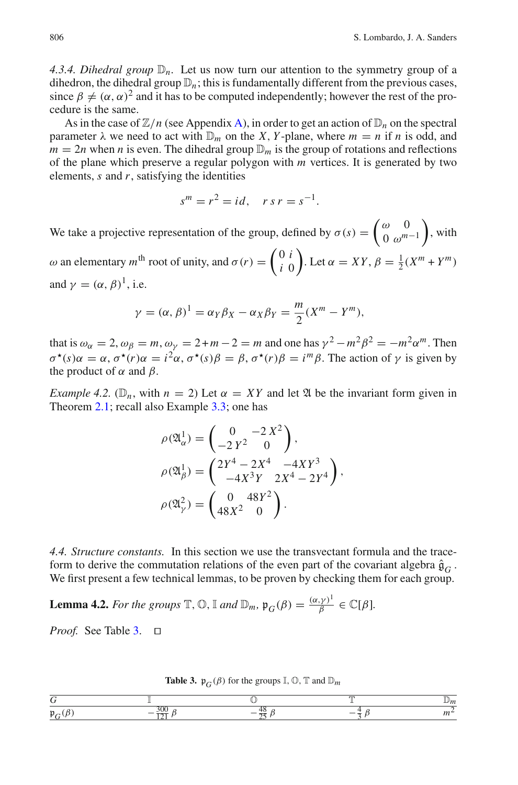4.3.4. Dihedral group  $\mathbb{D}_n$ . Let us now turn our attention to the symmetry group of a dihedron, the dihedral group  $\mathbb{D}_n$ ; this is fundamentally different from the previous cases, since  $\beta \neq (\alpha, \alpha)^2$  and it has to be computed independently; however the rest of the procedure is the same.

<span id="page-14-5"></span><span id="page-14-4"></span>As in the case of  $\mathbb{Z}/n$  (see Appendix [A\)](#page-26-0), in order to get an action of  $\mathbb{D}_n$  on the spectral parameter  $\lambda$  we need to act with  $\mathbb{D}_m$  on the *X*, *Y*-plane, where  $m = n$  if *n* is odd, and  $m = 2n$  when *n* is even. The dihedral group  $\mathbb{D}_m$  is the group of rotations and reflections of the plane which preserve a regular polygon with *m* vertices. It is generated by two elements, *s* and *r*, satisfying the identities

<span id="page-14-7"></span>
$$
s^m = r^2 = id, \quad r s r = s^{-1}.
$$

<span id="page-14-2"></span>We take a projective representation of the group, defined by  $\sigma(s) = \begin{pmatrix} \omega & 0 \\ 0 & \omega^m \end{pmatrix}$  $0 \omega^{m-1}$  $\bigg)$ , with ω an elementary *m*<sup>th</sup> root of unity, and  $σ(r) = \begin{pmatrix} 0 & i \\ i & 0 \end{pmatrix}$ *i* 0  $\int$ . Let  $\alpha = XY$ ,  $\beta = \frac{1}{2}(X^m + Y^m)$ and  $\gamma = (\alpha, \beta)^1$ , i.e.

$$
\gamma = (\alpha, \beta)^{1} = \alpha_{Y} \beta_{X} - \alpha_{X} \beta_{Y} = \frac{m}{2} (X^{m} - Y^{m}),
$$

<span id="page-14-6"></span>that is  $\omega_{\alpha} = 2$ ,  $\omega_{\beta} = m$ ,  $\omega_{\gamma} = 2 + m - 2 = m$  and one has  $\gamma^2 - m^2 \beta^2 = -m^2 \alpha^m$ . Then  $\sigma^*(s) \alpha = \alpha$ ,  $\sigma^*(r) \alpha = i^2 \alpha$ ,  $\sigma^*(s) \beta = \beta$ ,  $\sigma^*(r) \beta = i^m \beta$ . The action of  $\gamma$  is given by the product of  $\alpha$  and  $\beta$ .

<span id="page-14-3"></span>*Example 4.2.* ( $\mathbb{D}_n$ , with  $n = 2$ ) Let  $\alpha = XY$  and let  $\mathfrak A$  be the invariant form given in Theorem [2.1;](#page-4-1) recall also Example [3.3;](#page-6-4) one has

$$
\rho(\mathfrak{A}_{\alpha}^{1}) = \begin{pmatrix} 0 & -2X^{2} \\ -2Y^{2} & 0 \end{pmatrix},
$$
  
\n
$$
\rho(\mathfrak{A}_{\beta}^{1}) = \begin{pmatrix} 2Y^{4} - 2X^{4} & -4XY^{3} \\ -4X^{3}Y & 2X^{4} - 2Y^{4} \end{pmatrix},
$$
  
\n
$$
\rho(\mathfrak{A}_{\gamma}^{2}) = \begin{pmatrix} 0 & 48Y^{2} \\ 48X^{2} & 0 \end{pmatrix}.
$$

*4.4. Structure constants.* In this section we use the transvectant formula and the traceform to derive the commutation relations of the even part of the covariant algebra  $\hat{\mathfrak{g}}_G$ . We first present a few technical lemmas, to be proven by checking them for each group.

**Lemma 4.2.** *For the groups*  $\mathbb{T}, \mathbb{O}, \mathbb{I}$  *and*  $\mathbb{D}_m$ ,  $\mathfrak{p}_G(\beta) = \frac{(\alpha, \gamma)^1}{\beta}$  $\frac{(\gamma)^1}{\beta} \in \mathbb{C}[\beta].$ 

*Proof.* See Table [3.](#page-13-2) ⊓⊔

<span id="page-14-1"></span><span id="page-14-0"></span>**Table 3.**  $\mathfrak{p}_G(\beta)$  for the groups  $\mathbb{I}, \mathbb{O}, \mathbb{T}$  and  $\mathbb{D}_m$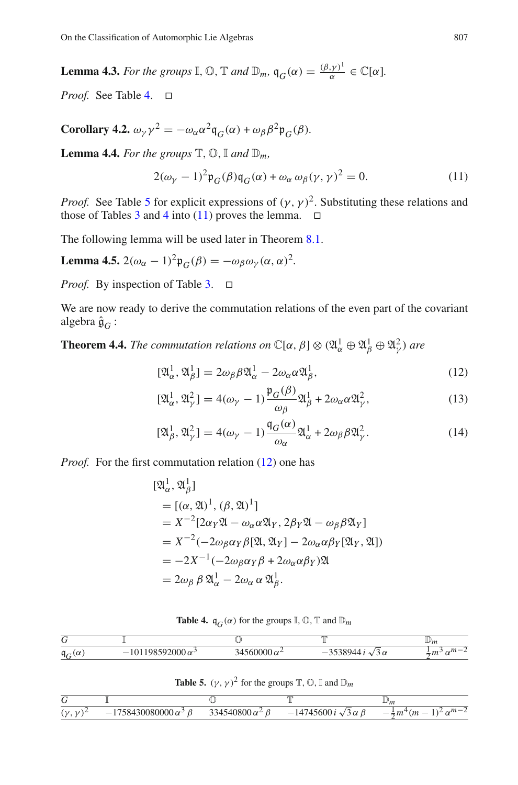**Lemma 4.3.** *For the groups*  $\mathbb{I}, \mathbb{O}, \mathbb{T}$  *and*  $\mathbb{D}_m$ ,  $\mathfrak{q}_G(\alpha) = \frac{(\beta, \gamma)^1}{\alpha}$  $\frac{(\gamma)^1}{\alpha} \in \mathbb{C}[\alpha].$ 

*Proof.* See Table [4.](#page-14-0) ⊓⊔

**Corollary 4.2.**  $\omega_{\gamma} \gamma^2 = -\omega_{\alpha} \alpha^2 \mathfrak{q}_G(\alpha) + \omega_{\beta} \beta^2 \mathfrak{p}_G(\beta)$ .

**Lemma 4.4.** *For the groups*  $\mathbb{T}, \mathbb{O}, \mathbb{I}$  *and*  $\mathbb{D}_m$ *,* 

$$
2(\omega_{\gamma} - 1)^2 \mathfrak{p}_G(\beta) \mathfrak{q}_G(\alpha) + \omega_{\alpha} \omega_{\beta}(\gamma, \gamma)^2 = 0.
$$
 (11)

*Proof.* See Table [5](#page-14-1) for explicit expressions of  $(\gamma, \gamma)^2$ . Substituting these relations and those of Tables [3](#page-13-2) and [4](#page-14-0) into [\(11\)](#page-14-2) proves the lemma.  $□$ 

The following lemma will be used later in Theorem [8.1.](#page-23-1)

**Lemma 4.5.**  $2(\omega_{\alpha} - 1)^2 \mathfrak{p}_G(\beta) = -\omega_{\beta} \omega_{\gamma} (\alpha, \alpha)^2$ .

*Proof.* By inspection of Table [3.](#page-13-2) □

We are now ready to derive the commutation relations of the even part of the covariant algebra  $\hat{\mathfrak{g}}_G$  :

**Theorem 4.4.** *The commutation relations on*  $\mathbb{C}[\alpha, \beta] \otimes (\mathfrak{A}_{\alpha}^1 \oplus \mathfrak{A}_{\beta}^1 \oplus \mathfrak{A}_{\gamma}^2)$  are

$$
[\mathfrak{A}_{\alpha}^{1}, \mathfrak{A}_{\beta}^{1}] = 2\omega_{\beta}\beta\mathfrak{A}_{\alpha}^{1} - 2\omega_{\alpha}\alpha\mathfrak{A}_{\beta}^{1},
$$
\n(12)

$$
[\mathfrak{A}_{\alpha}^{1}, \mathfrak{A}_{\gamma}^{2}] = 4(\omega_{\gamma} - 1) \frac{\mathfrak{p}_{G}(\beta)}{\omega_{\beta}} \mathfrak{A}_{\beta}^{1} + 2\omega_{\alpha} \alpha \mathfrak{A}_{\gamma}^{2},
$$
\n(13)

$$
[\mathfrak{A}_{\beta}^1, \mathfrak{A}_{\gamma}^2] = 4(\omega_{\gamma} - 1) \frac{\mathfrak{q}_G(\alpha)}{\omega_{\alpha}} \mathfrak{A}_{\alpha}^1 + 2\omega_{\beta} \beta \mathfrak{A}_{\gamma}^2.
$$
 (14)

*Proof.* For the first commutation relation [\(12\)](#page-14-3) one has

$$
[\mathfrak{A}_{\alpha}^{1}, \mathfrak{A}_{\beta}^{1}]
$$
  
=  $[(\alpha, \mathfrak{A})^{1}, (\beta, \mathfrak{A})^{1}]$   
=  $X^{-2}[2\alpha_{Y}\mathfrak{A} - \omega_{\alpha}\alpha\mathfrak{A}_{Y}, 2\beta_{Y}\mathfrak{A} - \omega_{\beta}\beta\mathfrak{A}_{Y}]$   
=  $X^{-2}(-2\omega_{\beta}\alpha_{Y}\beta[\mathfrak{A}, \mathfrak{A}_{Y}] - 2\omega_{\alpha}\alpha\beta_{Y}[\mathfrak{A}_{Y}, \mathfrak{A}])$   
=  $-2X^{-1}(-2\omega_{\beta}\alpha_{Y}\beta + 2\omega_{\alpha}\alpha\beta_{Y})\mathfrak{A}$   
=  $2\omega_{\beta}\beta\mathfrak{A}_{\alpha}^{1} - 2\omega_{\alpha}\alpha\mathfrak{A}_{\beta}^{1}.$ 

**Table 4.**  $q_G(\alpha)$  for the groups  $\mathbb{I}, \mathbb{O}, \mathbb{T}$  and  $\mathbb{D}_m$ 

<span id="page-15-0"></span>

|                                      |                                                    |    | m              | $\mathbb{D}_m$                                                      |
|--------------------------------------|----------------------------------------------------|----|----------------|---------------------------------------------------------------------|
| $q_{\scriptscriptstyle C}$<br>$\sim$ | $\sim$ $\sim$ $\sim$<br>າ∠∪∪∪ ແ<br>$\sim$<br>1011/ | 14 | ۰,<br>$\alpha$ | $m =$<br>$\sim$<br>$x + y + z = 0$<br>÷<br>$\overline{\mathcal{L}}$ |

**Table 5.**  $(\gamma, \gamma)^2$  for the groups  $\mathbb{T}, \mathbb{O}, \mathbb{I}$  and  $\mathbb{D}_m$ 

| ◡          |                          |                                     | m                                                                           | ╨<br>m                                                                                                                           |
|------------|--------------------------|-------------------------------------|-----------------------------------------------------------------------------|----------------------------------------------------------------------------------------------------------------------------------|
| $\sqrt{2}$ | وردر<br>wooo u<br>$\sim$ | $\sim$<br>740800 a<br>- 14<br>ب57 م | $\sim$<br>$\boldsymbol{\alpha}$<br><br>$\cdots$<br>$\overline{\phantom{0}}$ | $\boldsymbol{\boldsymbol{m}}$<br>$\sim$<br>--<br>. .<br>$\overline{\pi}$ <i>n</i><br>$\frac{1}{2}$<br>$\boldsymbol{\mathcal{L}}$ |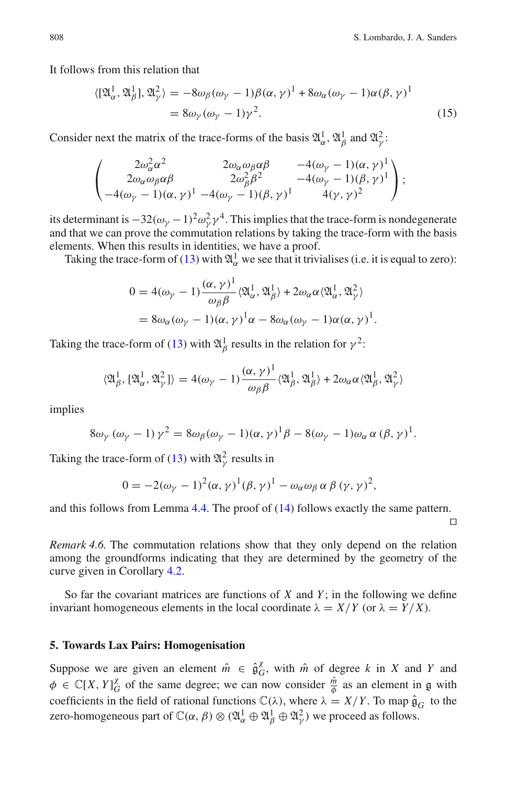It follows from this relation that

$$
\langle [\mathfrak{A}_{\alpha}^{1}, \mathfrak{A}_{\beta}^{1}], \mathfrak{A}_{\gamma}^{2} \rangle = -8\omega_{\beta}(\omega_{\gamma} - 1)\beta(\alpha, \gamma)^{1} + 8\omega_{\alpha}(\omega_{\gamma} - 1)\alpha(\beta, \gamma)^{1}
$$
  
=  $8\omega_{\gamma}(\omega_{\gamma} - 1)\gamma^{2}$ . (15)

Consider next the matrix of the trace-forms of the basis  $\mathfrak{A}^1_{\alpha}$ ,  $\mathfrak{A}^1_{\beta}$  and  $\mathfrak{A}^2_{\gamma}$ :

$$
\begin{pmatrix} 2\omega_{\alpha}^2\alpha^2 & 2\omega_{\alpha}\omega_{\beta}\alpha\beta & -4(\omega_{\gamma}-1)(\alpha,\gamma)^1 \\ 2\omega_{\alpha}\omega_{\beta}\alpha\beta & 2\omega_{\beta}^2\beta^2 & -4(\omega_{\gamma}-1)(\beta,\gamma)^1 \\ -4(\omega_{\gamma}-1)(\alpha,\gamma)^1 & -4(\omega_{\gamma}-1)(\beta,\gamma)^1 & 4(\gamma,\gamma)^2 \end{pmatrix};
$$

its determinant is  $-32(\omega_\gamma - 1)^2 \omega_\gamma^2 \gamma^4$ . This implies that the trace-form is nondegenerate and that we can prove the commutation relations by taking the trace-form with the basis elements. When this results in identities, we have a proof.

Taking the trace-form of [\(13\)](#page-14-3) with  $\mathfrak{A}^1_\alpha$  we see that it trivialises (i.e. it is equal to zero):

$$
0 = 4(\omega_{\gamma} - 1) \frac{(\alpha, \gamma)^{1}}{\omega_{\beta} \beta} \langle \mathfrak{A}_{\alpha}^{1}, \mathfrak{A}_{\beta}^{1} \rangle + 2\omega_{\alpha} \alpha \langle \mathfrak{A}_{\alpha}^{1}, \mathfrak{A}_{\gamma}^{2} \rangle
$$
  
=  $8\omega_{\alpha}(\omega_{\gamma} - 1)(\alpha, \gamma)^{1} \alpha - 8\omega_{\alpha}(\omega_{\gamma} - 1)\alpha(\alpha, \gamma)^{1}.$ 

Taking the trace-form of [\(13\)](#page-14-3) with  $\mathfrak{A}^1_\beta$  results in the relation for  $\gamma^2$ :

$$
\langle \mathfrak{A}^1_\beta, [\mathfrak{A}^1_\alpha, \mathfrak{A}^2_\gamma] \rangle = 4(\omega_\gamma - 1) \frac{(\alpha, \gamma)^1}{\omega_\beta \beta} \langle \mathfrak{A}^1_\beta, \mathfrak{A}^1_\beta \rangle + 2\omega_\alpha \alpha \langle \mathfrak{A}^1_\beta, \mathfrak{A}^2_\gamma \rangle
$$

implies

$$
8\omega_{\gamma} (\omega_{\gamma} - 1) \gamma^2 = 8\omega_{\beta} (\omega_{\gamma} - 1) (\alpha, \gamma)^1 \beta - 8(\omega_{\gamma} - 1) \omega_{\alpha} \alpha (\beta, \gamma)^1.
$$

Taking the trace-form of [\(13\)](#page-14-3) with  $\mathfrak{A}^2_\gamma$  results in

$$
0 = -2(\omega_{\gamma} - 1)^{2}(\alpha, \gamma)^{1}(\beta, \gamma)^{1} - \omega_{\alpha}\omega_{\beta}\alpha\beta(\gamma, \gamma)^{2},
$$

and this follows from Lemma [4.4.](#page-14-4) The proof of [\(14\)](#page-14-3) follows exactly the same pattern.

⊓⊔

*Remark 4.6.* The commutation relations show that they only depend on the relation among the groundforms indicating that they are determined by the geometry of the curve given in Corollary [4.2.](#page-14-5)

So far the covariant matrices are functions of *X* and *Y* ; in the following we define invariant homogeneous elements in the local coordinate  $\lambda = X/Y$  (or  $\lambda = Y/X$ ).

#### **5. Towards Lax Pairs: Homogenisation**

Suppose we are given an element  $\hat{m} \in \hat{\mathfrak{g}}_G^{\chi}$  $\alpha$ <sup>*G*</sup>, with  $\hat{m}$  of degree *k* in *X* and *Y* and  $\phi \in \mathbb{C}[X, Y]_G^{\chi}$  $\frac{\chi}{G}$  of the same degree; we can now consider  $\frac{\hat{m}}{\phi}$  as an element in g with coefficients in the field of rational functions  $\mathbb{C}(\lambda)$ , where  $\lambda = X/Y$ . To map  $\hat{\mathfrak{g}}_G$  to the zero-homogeneous part of  $\mathbb{C}(\alpha, \beta) \otimes (\mathfrak{A}_{\alpha}^1 \oplus \mathfrak{A}_{\beta}^1 \oplus \mathfrak{A}_{\gamma}^2)$  we proceed as follows.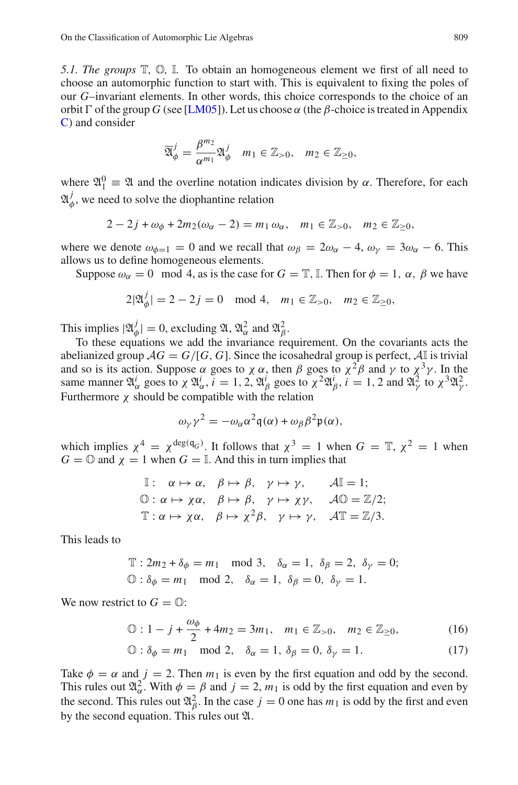*5.1. The groups* T*,* O*,* I*.* To obtain an homogeneous element we first of all need to choose an automorphic function to start with. This is equivalent to fixing the poles of our *G*–invariant elements. In other words, this choice corresponds to the choice of an orbit  $\Gamma$  of the group *G* (see [\[LM05](#page-31-0)]). Let us choose  $\alpha$  (the *β*-choice is treated in Appendix [C\)](#page-27-0) and consider

$$
\overline{\mathfrak{A}}_{\phi}^{j} = \frac{\beta^{m_2}}{\alpha^{m_1}} \mathfrak{A}_{\phi}^{j} \quad m_1 \in \mathbb{Z}_{>0}, \quad m_2 \in \mathbb{Z}_{\geq 0},
$$

where  $\mathfrak{A}_1^0 \equiv \mathfrak{A}$  and the overline notation indicates division by  $\alpha$ . Therefore, for each  $\mathfrak{A}_d^j$  $\phi$ , we need to solve the diophantine relation

$$
2-2j+\omega_{\phi}+2m_2(\omega_{\alpha}-2)=m_1\,\omega_{\alpha},\quad m_1\in\mathbb{Z}_{>0},\quad m_2\in\mathbb{Z}_{\geq0},
$$

where we denote  $\omega_{\phi=1} = 0$  and we recall that  $\omega_{\beta} = 2\omega_{\alpha} - 4$ ,  $\omega_{\nu} = 3\omega_{\alpha} - 6$ . This allows us to define homogeneous elements.

Suppose  $\omega_{\alpha} = 0 \mod 4$ , as is the case for  $G = \mathbb{T}$ , I. Then for  $\phi = 1$ ,  $\alpha$ ,  $\beta$  we have

$$
2|\mathfrak{A}_{\phi}^{j}| = 2 - 2j = 0 \mod 4, \quad m_1 \in \mathbb{Z}_{>0}, \quad m_2 \in \mathbb{Z}_{\geq 0},
$$

This implies  $|\mathfrak{A}_{\phi}^j|$  $|\psi_{\phi}| = 0$ , excluding  $\mathfrak{A}, \mathfrak{A}_{\alpha}^2$  and  $\mathfrak{A}_{\beta}^2$ .

To these equations we add the invariance requirement. On the covariants acts the abelianized group  $AG = G/[G, G]$ . Since the icosahedral group is perfect,  $\mathcal{A}$  is trivial and so is its action. Suppose  $\alpha$  goes to  $\chi \alpha$ , then  $\beta$  goes to  $\chi^2 \beta$  and  $\gamma$  to  $\chi^3 \gamma$ . In the same manner  $\mathfrak{A}^i_\alpha$  goes to  $\chi \mathfrak{A}^i_\alpha$ ,  $i = 1, 2, \mathfrak{A}^i_\beta$  goes to  $\chi^2 \mathfrak{A}^i_\beta$ ,  $i = 1, 2$  and  $\mathfrak{A}^2_\gamma$  to  $\chi^3 \mathfrak{A}^2_\gamma$ . Furthermore  $\chi$  should be compatible with the relation

$$
\omega_{\gamma} \gamma^2 = -\omega_{\alpha} \alpha^2 \mathfrak{q}(\alpha) + \omega_{\beta} \beta^2 \mathfrak{p}(\alpha),
$$

<span id="page-17-2"></span><span id="page-17-0"></span>which implies  $\chi^4 = \chi^{\deg(q_G)}$ . It follows that  $\chi^3 = 1$  when  $G = \mathbb{T}, \chi^2 = 1$  when  $G = \mathbb{O}$  and  $\chi = 1$  when  $G = \mathbb{I}$ . And this in turn implies that

I: 
$$
\alpha \mapsto \alpha
$$
,  $\beta \mapsto \beta$ ,  $\gamma \mapsto \gamma$ ,  $\mathcal{A}I = 1$ ;  
\n $\mathbb{O}: \alpha \mapsto \chi \alpha$ ,  $\beta \mapsto \beta$ ,  $\gamma \mapsto \chi \gamma$ ,  $\mathcal{A} \mathbb{O} = \mathbb{Z}/2$ ;  
\n $\mathbb{T}: \alpha \mapsto \chi \alpha$ ,  $\beta \mapsto \chi^2 \beta$ ,  $\gamma \mapsto \gamma$ ,  $\mathcal{A} \mathbb{T} = \mathbb{Z}/3$ .

<span id="page-17-1"></span>This leads to

$$
\mathbb{T}: 2m_2 + \delta_{\phi} = m_1 \mod 3, \quad \delta_{\alpha} = 1, \ \delta_{\beta} = 2, \ \delta_{\gamma} = 0;
$$
  

$$
\mathbb{O}: \delta_{\phi} = m_1 \mod 2, \quad \delta_{\alpha} = 1, \ \delta_{\beta} = 0, \ \delta_{\gamma} = 1.
$$

We now restrict to  $G = \mathbb{O}$ :

$$
\mathbb{O}: 1 - j + \frac{\omega_{\phi}}{2} + 4m_2 = 3m_1, \quad m_1 \in \mathbb{Z}_{>0}, \quad m_2 \in \mathbb{Z}_{\geq 0}, \tag{16}
$$

$$
\mathbb{O}: \delta_{\phi} = m_1 \mod 2, \quad \delta_{\alpha} = 1, \ \delta_{\beta} = 0, \ \delta_{\gamma} = 1. \tag{17}
$$

Take  $\phi = \alpha$  and  $j = 2$ . Then  $m_1$  is even by the first equation and odd by the second. This rules out  $\mathfrak{A}_{\alpha}^2$ . With  $\phi = \beta$  and  $j = 2, m_1$  is odd by the first equation and even by the second. This rules out  $\mathfrak{A}_{\beta}^2$ . In the case  $j = 0$  one has  $m_1$  is odd by the first and even by the second equation. This rules out A.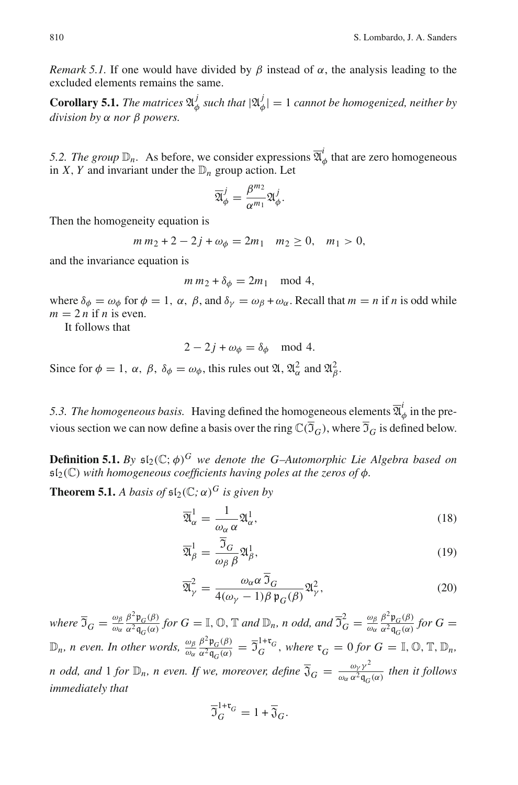*Remark 5.1.* If one would have divided by  $\beta$  instead of  $\alpha$ , the analysis leading to the excluded elements remains the same.

**Corollary 5.1.** *The matrices*  $\mathfrak{A}_d^j$  $\frac{j}{\phi}$  such that  $|\mathfrak{A}_{\phi}^j|$ φ | = 1 *cannot be homogenized, neither by division by* α *nor* β *powers.*

5.2. The group  $\mathbb{D}_n$ . As before, we consider expressions  $\overline{\mathfrak{A}}_0^i$  $\phi$  that are zero homogeneous in *X*, *Y* and invariant under the  $\mathbb{D}_n$  group action. Let

$$
\overline{\mathfrak{A}}_{\phi}^j = \frac{\beta^{m_2}}{\alpha^{m_1}} \mathfrak{A}_{\phi}^j.
$$

Then the homogeneity equation is

$$
m m_2 + 2 - 2j + \omega_{\phi} = 2m_1 \quad m_2 \ge 0, \quad m_1 > 0,
$$

and the invariance equation is

$$
m m_2 + \delta_{\phi} = 2m_1 \mod 4,
$$

where  $\delta_{\phi} = \omega_{\phi}$  for  $\phi = 1$ ,  $\alpha$ ,  $\beta$ , and  $\delta_{\gamma} = \omega_{\beta} + \omega_{\alpha}$ . Recall that  $m = n$  if *n* is odd while  $m = 2n$  if *n* is even.

It follows that

$$
2 - 2j + \omega_{\phi} = \delta_{\phi} \mod 4.
$$

Since for  $\phi = 1$ ,  $\alpha$ ,  $\beta$ ,  $\delta_{\phi} = \omega_{\phi}$ , this rules out  $\mathfrak{A}, \mathfrak{A}_{\alpha}^2$  and  $\mathfrak{A}_{\beta}^2$ .

5.3. The homogeneous basis. Having defined the homogeneous elements  $\overline{\mathfrak{A}}_c^i$  $\phi$  in the previous section we can now define a basis over the ring  $\mathbb{C}(\overline{\mathfrak{I}}_G)$ , where  $\overline{\mathfrak{I}}_G$  is defined below.

**Definition 5.1.** *By*  $\mathfrak{sl}_2(\mathbb{C}; \phi)^G$  *we denote the G-Automorphic Lie Algebra based on*  $\mathfrak{sl}_2(\mathbb{C})$  with homogeneous coefficients having poles at the zeros of  $\phi$ .

<span id="page-18-0"></span>**Theorem 5.1.** *A basis of*  $\mathfrak{sl}_2(\mathbb{C}; \alpha)^G$  *is given by* 

$$
\overline{\mathfrak{A}}_{\alpha}^{1} = \frac{1}{\omega_{\alpha} \alpha} \mathfrak{A}_{\alpha}^{1},\tag{18}
$$

$$
\overline{\mathfrak{A}}_{\beta}^{1} = \frac{\overline{\mathfrak{I}}_{G}}{\omega_{\beta} \beta} \mathfrak{A}_{\beta}^{1},\tag{19}
$$

$$
\overline{\mathfrak{A}}_{\gamma}^{2} = \frac{\omega_{\alpha} \alpha \, \overline{\mathfrak{I}}_{G}}{4(\omega_{\gamma} - 1)\beta \, \mathfrak{p}_{G}(\beta)} \mathfrak{A}_{\gamma}^{2},\tag{20}
$$

<span id="page-18-1"></span>*where*  $\overline{3}_G = \frac{\omega_\beta}{\omega_\alpha}$ ωα  $β<sup>2</sup>$   $p<sub>G</sub>(β)$  $\frac{\beta^2 \mathfrak{p}_G(\beta)}{\alpha^2 \mathfrak{q}_G(\alpha)}$  for  $G = \mathbb{I}$ ,  $\mathbb{O}$ ,  $\mathbb{T}$  and  $\mathbb{D}_n$ , n odd, and  $\overline{\mathfrak{I}}_G^2 = \frac{\omega_\beta}{\omega_\alpha}$ ωα  $β<sup>2</sup> p<sub>G</sub>(β)$  $\frac{\rho \rho_G(\rho)}{\alpha^2 \mathfrak{q}_G(\alpha)}$  *for*  $G =$  $\mathbb{D}_n$ *, n even. In other words,*  $\frac{\omega_\beta}{\omega_\alpha}$  $β<sup>2</sup>$  p<sub>*G</sub>*(*β*)</sub>  $\frac{\beta^2 \mathfrak{p}_G(\beta)}{\alpha^2 \mathfrak{q}_G(\alpha)} = \overline{\mathfrak{I}}_G^{1+\mathfrak{r}_G}$ , where  $\mathfrak{r}_G = 0$  for  $G = \mathbb{I}, \mathbb{O}, \mathbb{T}, \mathbb{D}_n$ , *n* odd, and 1 for  $\mathbb{D}_n$ , *n* even. If we, moreover, define  $\overline{\mathfrak{J}}_G = \frac{\omega_{\gamma} \gamma^2}{\omega_{\alpha} \alpha^2 \mathfrak{q}_G}$  $\frac{\omega_{\gamma}}{\omega_{\alpha} \alpha^2 \mathfrak{q}_G(\alpha)}$  then it follows *immediately that*

$$
\overline{\mathfrak{I}}_G^{1+\mathfrak{r}_G} = 1 + \overline{\mathfrak{J}}_G.
$$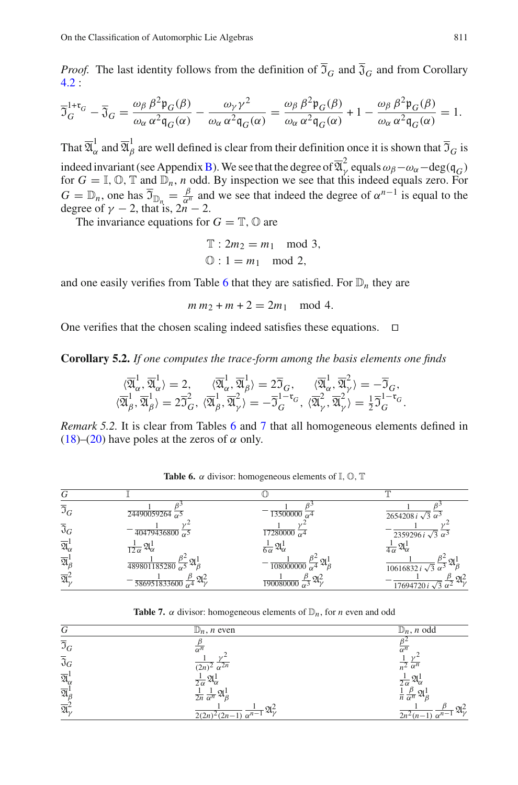*Proof.* The last identity follows from the definition of  $\overline{3}_G$  and  $\overline{3}_G$  and from Corollary [4.2](#page-14-5) :

$$
\overline{\mathfrak{I}}_G^{1+\mathfrak{r}_G} - \overline{\mathfrak{J}}_G = \frac{\omega_\beta \beta^2 \mathfrak{p}_G(\beta)}{\omega_\alpha \alpha^2 \mathfrak{q}_G(\alpha)} - \frac{\omega_\gamma \gamma^2}{\omega_\alpha \alpha^2 \mathfrak{q}_G(\alpha)} = \frac{\omega_\beta \beta^2 \mathfrak{p}_G(\beta)}{\omega_\alpha \alpha^2 \mathfrak{q}_G(\alpha)} + 1 - \frac{\omega_\beta \beta^2 \mathfrak{p}_G(\beta)}{\omega_\alpha \alpha^2 \mathfrak{q}_G(\alpha)} = 1.
$$

<span id="page-19-1"></span>That  $\overline{\mathfrak A}^1_\alpha$  $\frac{1}{\alpha}$  and  $\overline{\mathfrak A}^1_\beta$  $\beta$  are well defined is clear from their definition once it is shown that  $\mathfrak{I}_G$  is indeed invariant (see Appendix [B\)](#page-26-1). We see that the degree of  $\overline{\mathfrak{A}}_{\nu}^2$  $\gamma$  equals  $\omega_{\beta} - \omega_{\alpha} - \deg(q_G)$ for  $G = \mathbb{I}, \mathbb{O}, \mathbb{T}$  and  $\mathbb{D}_n$ , *n* odd. By inspection we see that this indeed equals zero. For  $G = \mathbb{D}_n$ , one has  $\overline{G}_{\mathbb{D}_n} = \frac{\beta}{\alpha^n}$  $\frac{\beta}{\alpha^n}$  and we see that indeed the degree of  $\alpha^{n-1}$  is equal to the degree of  $\gamma$  − 2, that is,  $2n$  − 2.

The invariance equations for  $G = \mathbb{T}$ ,  $\mathbb{O}$  are

$$
\mathbb{T}: 2m_2 = m_1 \mod 3,
$$
  

$$
\mathbb{O}: 1 = m_1 \mod 2,
$$

and one easily verifies from Table [6](#page-18-0) that they are satisfied. For  $\mathbb{D}_n$  they are

 $m m_2 + m + 2 = 2m_1 \mod 4$ .

<span id="page-19-2"></span>One verifies that the chosen scaling indeed satisfies these equations. ⊓⊔

**Corollary 5.2.** *If one computes the trace-form among the basis elements one finds*

$$
\begin{array}{cc}\langle\overline{\mathfrak{A}}_{\alpha}^{1},\overline{\mathfrak{A}}_{\alpha}^{1}\rangle=2, & \langle\overline{\mathfrak{A}}_{\alpha}^{1},\overline{\mathfrak{A}}_{\beta}^{1}\rangle=2\overline{\mathfrak{I}}_{G}, & \langle\overline{\mathfrak{A}}_{\alpha}^{1},\overline{\mathfrak{A}}_{\gamma}^{2}\rangle=-\overline{\mathfrak{I}}_{G},\\ \langle\overline{\mathfrak{A}}_{\beta}^{1},\overline{\mathfrak{A}}_{\beta}^{1}\rangle=2\overline{\mathfrak{I}}_{G}^{2}, & \langle\overline{\mathfrak{A}}_{\beta}^{1},\overline{\mathfrak{A}}_{\gamma}^{2}\rangle=-\overline{\mathfrak{I}}_{G}^{1-{\mathfrak{r}}_{G}}, & \langle\overline{\mathfrak{A}}_{\gamma}^{2},\overline{\mathfrak{A}}_{\gamma}^{2}\rangle=\frac{1}{2}\overline{\mathfrak{I}}_{G}^{1-{\mathfrak{r}}_{G}}\end{array}
$$

*Remark 5.2.* It is clear from Tables [6](#page-18-0) and [7](#page-18-1) that all homogeneous elements defined in [\(18\)](#page-17-1)–[\(20\)](#page-17-1) have poles at the zeros of  $\alpha$  only.

<span id="page-19-0"></span>

| G                                  |                                                                   |                                                                       |                                                                               |
|------------------------------------|-------------------------------------------------------------------|-----------------------------------------------------------------------|-------------------------------------------------------------------------------|
| $\overline{\mathfrak{I}}_G$        | $\sqrt{24490059264}$ $\sqrt{5}$                                   | $\frac{13500000}{60}$                                                 | $2654208 i \sqrt{3} \ \overline{\alpha^3}$                                    |
| $\overline{\mathfrak{J}}_G$        | $\frac{40479436800}{60}$                                          | $\frac{17280000}{0.64}$                                               | $2359296 i \sqrt{3} \ \overline{\alpha^3}$                                    |
| $\overline{\mathfrak{A}}_{\alpha}$ | $\frac{1}{12 \alpha} \mathfrak{A}^1_{\alpha}$                     | $\frac{1}{6\alpha} \mathfrak{A}^{\mathrm{l}}_{\alpha}$                | $\frac{1}{4\alpha} \mathfrak{A}^{\prime}_{\alpha}$                            |
| $\overline{\mathfrak{A}}_B^1$      | $\Omega$<br>$\frac{189801185280}{90} \frac{1}{2} \pi^{3}$         | $\frac{1}{108000000} \frac{\beta^2}{\alpha^4} \mathfrak{A}^1_{\beta}$ | $10616832 \mathrm{i} \sqrt{3} \overline{\alpha^3}$ <sup>24</sup> $\beta$      |
| $\overline{\mathfrak{A}}$          | $\mathfrak{A}^2$<br>$\frac{1}{586951833600}$ $\frac{1}{\alpha^4}$ | $\frac{3}{2}$ 21.<br>$\frac{190080000}{6}$                            | $\frac{3}{2} \mathfrak{A}_{12}^2$<br>17694720 $i\sqrt{3} \overline{\alpha^2}$ |

**Table 6.**  $\alpha$  divisor: homogeneous elements of  $\mathbb{I}, \mathbb{O}, \mathbb{T}$ 

**Table 7.**  $\alpha$  divisor: homogeneous elements of  $\mathbb{D}_n$ , for *n* even and odd

| G                                             | $\mathbb{D}_n$ , <i>n</i> even                                           | $\mathbb{D}_n$ , <i>n</i> odd                                 |
|-----------------------------------------------|--------------------------------------------------------------------------|---------------------------------------------------------------|
| $\overline{\mathfrak{I}}_G$                   | $\alpha^n$                                                               | $\overline{\alpha^n}$                                         |
| $\overline{\mathfrak{J}}_G$                   | $(2n)^2 \alpha^{2n}$                                                     | $\overline{n^2} \overline{\alpha^n}$                          |
| $\overline{\mathfrak{A}}_{\alpha}^{\text{I}}$ | $\frac{1}{2\alpha} \mathfrak{A}^{\mathrm{l}}_{\alpha}$                   | $\frac{1}{2\alpha} \mathfrak{A}^1_{\alpha}$                   |
| $\overline{\mathfrak{A}}^1_{\beta}$           | $\frac{1}{2n} \frac{1}{\alpha^n} \mathfrak{A}^1_\beta$                   | $rac{1}{n} \frac{\rho}{\alpha^n} \mathfrak{A}^1_\beta$        |
| $\overline{\mathfrak{A}}_{\nu}^2$             | $\frac{1}{2(2n)^2(2n-1)} \frac{1}{\alpha^{n-1}} \mathfrak{A}_{\gamma}^2$ | $\frac{p}{2n^2(n-1)} \frac{p}{\alpha^{n-1}} \mathfrak{A}_v^2$ |

.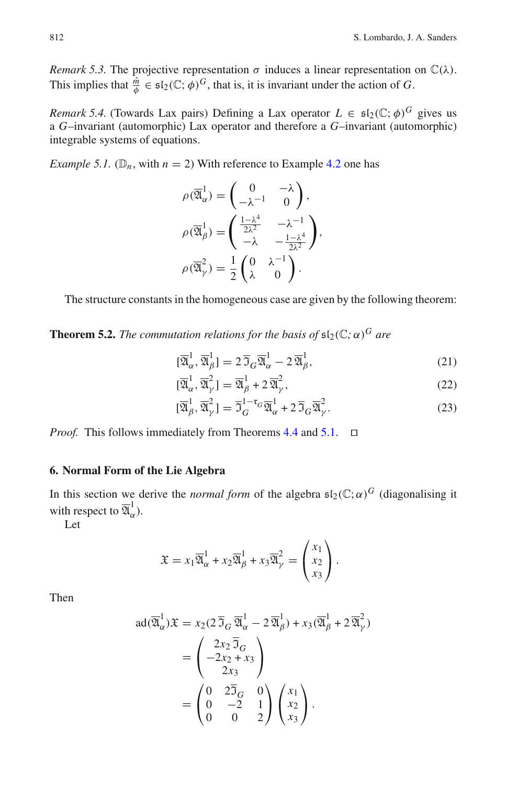*Remark 5.3.* The projective representation  $\sigma$  induces a linear representation on  $\mathbb{C}(\lambda)$ . This implies that  $\frac{\hat{m}}{\phi} \in \mathfrak{sl}_2(\mathbb{C}; \phi)^G$ , that is, it is invariant under the action of *G*.

*Remark 5.4.* (Towards Lax pairs) Defining a Lax operator  $L \in \mathfrak{sl}_2(\mathbb{C}; \phi)^G$  gives us a *G*–invariant (automorphic) Lax operator and therefore a *G*–invariant (automorphic) integrable systems of equations.

*Example 5.1.* ( $\mathbb{D}_n$ , with  $n = 2$ ) With reference to Example [4.2](#page-13-3) one has

$$
\rho(\overline{\mathfrak{A}}_{\alpha}^{1}) = \begin{pmatrix} 0 & -\lambda \\ -\lambda^{-1} & 0 \end{pmatrix},
$$

$$
\rho(\overline{\mathfrak{A}}_{\beta}^{1}) = \begin{pmatrix} \frac{1-\lambda^{4}}{2\lambda^{2}} & -\lambda^{-1} \\ -\lambda & -\frac{1-\lambda^{4}}{2\lambda^{2}} \end{pmatrix},
$$

$$
\rho(\overline{\mathfrak{A}}_{\gamma}^{2}) = \frac{1}{2} \begin{pmatrix} 0 & \lambda^{-1} \\ \lambda & 0 \end{pmatrix}.
$$

The structure constants in the homogeneous case are given by the following theorem:

<span id="page-20-0"></span>**Theorem 5.2.** *The commutation relations for the basis of*  $\mathfrak{sl}_2(\mathbb{C}; \alpha)^G$  *are* 

$$
[\overline{\mathfrak{A}}_{\alpha}^{1}, \overline{\mathfrak{A}}_{\beta}^{1}] = 2 \overline{\mathfrak{I}}_{G} \overline{\mathfrak{A}}_{\alpha}^{1} - 2 \overline{\mathfrak{A}}_{\beta}^{1}, \qquad (21)
$$

$$
[\overline{\mathfrak{A}}_{\alpha}^{1}, \overline{\mathfrak{A}}_{\gamma}^{2}] = \overline{\mathfrak{A}}_{\beta}^{1} + 2\overline{\mathfrak{A}}_{\gamma}^{2},
$$
\n(22)

$$
[\overline{\mathfrak{A}}_{\beta}^{1}, \overline{\mathfrak{A}}_{\gamma}^{2}] = \overline{\mathfrak{I}}_{G}^{1-\mathfrak{r}_{G}} \overline{\mathfrak{A}}_{\alpha}^{1} + 2 \overline{\mathfrak{I}}_{G} \overline{\mathfrak{A}}_{\gamma}^{2}.
$$
 (23)

*Proof.* This follows immediately from Theorems [4.4](#page-14-6) and [5.1.](#page-17-2) □

#### **6. Normal Form of the Lie Algebra**

In this section we derive the *normal form* of the algebra  $\mathfrak{sl}_2(\mathbb{C}; \alpha)^G$  (diagonalising it with respect to  $\overline{\mathfrak A}^1_\alpha$  $\frac{1}{\alpha}$ ).

Let

$$
\mathfrak{X} = x_1 \overline{\mathfrak{A}}_\alpha^1 + x_2 \overline{\mathfrak{A}}_\beta^1 + x_3 \overline{\mathfrak{A}}_\gamma^2 = \begin{pmatrix} x_1 \\ x_2 \\ x_3 \end{pmatrix}.
$$

Then

$$
ad(\overline{\mathfrak{A}}_{\alpha}^{1})\mathfrak{X} = x_{2}(2\overline{\mathfrak{I}}_{G}\overline{\mathfrak{A}}_{\alpha}^{1} - 2\overline{\mathfrak{A}}_{\beta}^{1}) + x_{3}(\overline{\mathfrak{A}}_{\beta}^{1} + 2\overline{\mathfrak{A}}_{\gamma}^{2})
$$
  
= 
$$
\begin{pmatrix} 2x_{2}\overline{\mathfrak{I}}_{G} \\ -2x_{2} + x_{3} \\ 2x_{3} \end{pmatrix}
$$
  
= 
$$
\begin{pmatrix} 0 & 2\overline{\mathfrak{I}}_{G} & 0 \\ 0 & -2 & 1 \\ 0 & 0 & 2 \end{pmatrix} \begin{pmatrix} x_{1} \\ x_{2} \\ x_{3} \end{pmatrix}.
$$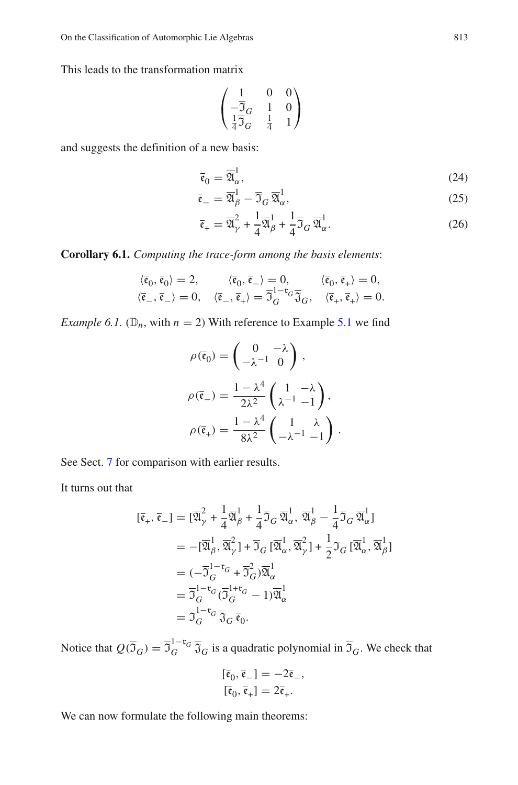This leads to the transformation matrix

$$
\begin{pmatrix} 1 & 0 & 0 \\ -\overline{\mathfrak{I}}_G & 1 & 0 \\ \frac{1}{4}\overline{\mathfrak{I}}_G & \frac{1}{4} & 1 \end{pmatrix}
$$

and suggests the definition of a new basis:

$$
\overline{\mathfrak{e}}_0 = \overline{\mathfrak{A}}_\alpha^1,\tag{24}
$$

$$
\overline{\mathfrak{e}}_{-} = \overline{\mathfrak{A}}_{\beta}^{1} - \overline{\mathfrak{I}}_{G} \overline{\mathfrak{A}}_{\alpha}^{1},\tag{25}
$$

$$
\overline{\mathfrak{e}}_{+} = \overline{\mathfrak{A}}_{\gamma}^{2} + \frac{1}{4} \overline{\mathfrak{A}}_{\beta}^{1} + \frac{1}{4} \overline{\mathfrak{I}}_{G} \overline{\mathfrak{A}}_{\alpha}^{1}.
$$
 (26)

**Corollary 6.1.** *Computing the trace-form among the basis elements*:

$$
\langle \bar{\mathfrak{e}}_0, \bar{\mathfrak{e}}_0 \rangle = 2, \qquad \langle \bar{\mathfrak{e}}_0, \bar{\mathfrak{e}}_- \rangle = 0, \qquad \langle \bar{\mathfrak{e}}_0, \bar{\mathfrak{e}}_+ \rangle = 0, \langle \bar{\mathfrak{e}}_-, \bar{\mathfrak{e}}_+ \rangle = 0, \qquad \langle \bar{\mathfrak{e}}_-, \bar{\mathfrak{e}}_+ \rangle = \overline{\mathfrak{I}}_G^{\mathrm{1-r}} \overline{\mathfrak{I}}_G, \qquad \langle \bar{\mathfrak{e}}_+, \bar{\mathfrak{e}}_+ \rangle = 0.
$$

*Example 6.1.* ( $\mathbb{D}_n$ , with  $n = 2$ ) With reference to Example [5.1](#page-19-1) we find

$$
\rho(\bar{\mathfrak{e}}_0) = \begin{pmatrix} 0 & -\lambda \\ -\lambda^{-1} & 0 \end{pmatrix},
$$

$$
\rho(\bar{\mathfrak{e}}_-) = \frac{1 - \lambda^4}{2\lambda^2} \begin{pmatrix} 1 & -\lambda \\ \lambda^{-1} & -1 \end{pmatrix},
$$

$$
\rho(\bar{\mathfrak{e}}_+) = \frac{1 - \lambda^4}{8\lambda^2} \begin{pmatrix} 1 & \lambda \\ -\lambda^{-1} & -1 \end{pmatrix}.
$$

See Sect. [7](#page-22-0) for comparison with earlier results.

It turns out that

$$
\begin{split}\n[\bar{\mathfrak{e}}_{+}, \bar{\mathfrak{e}}_{-}] &= [\overline{\mathfrak{A}}_{\gamma}^{2} + \frac{1}{4}\overline{\mathfrak{A}}_{\beta}^{1} + \frac{1}{4}\overline{\mathfrak{I}}_{G} \overline{\mathfrak{A}}_{\alpha}^{1}, \overline{\mathfrak{A}}_{\beta}^{1} - \frac{1}{4}\overline{\mathfrak{I}}_{G} \overline{\mathfrak{A}}_{\alpha}^{1}] \\
&= -[\overline{\mathfrak{A}}_{\beta}^{1}, \overline{\mathfrak{A}}_{\gamma}^{2}] + \overline{\mathfrak{I}}_{G} [\overline{\mathfrak{A}}_{\alpha}^{1}, \overline{\mathfrak{A}}_{\gamma}^{2}] + \frac{1}{2}\mathfrak{I}_{G} [\overline{\mathfrak{A}}_{\alpha}^{1}, \overline{\mathfrak{A}}_{\beta}^{1}] \\
&= (-\overline{\mathfrak{I}}_{G}^{1-\mathfrak{r}_{G}} + \overline{\mathfrak{I}}_{G}^{2})\overline{\mathfrak{A}}_{\alpha}^{1} \\
&= \overline{\mathfrak{I}}_{G}^{1-\mathfrak{r}_{G}} (\overline{\mathfrak{I}}_{G}^{1+\mathfrak{r}_{G}} - 1)\overline{\mathfrak{A}}_{\alpha}^{1} \\
&= \overline{\mathfrak{I}}_{G}^{1-\mathfrak{r}_{G}} \overline{\mathfrak{J}}_{G} \overline{\mathfrak{e}}_{0}.\n\end{split}
$$

Notice that  $Q(\overline{J}_G) = \overline{J}_G^{1-\tau_G} \overline{J}_G$  is a quadratic polynomial in  $\overline{J}_G$ . We check that

$$
\begin{aligned}\n[\overline{\mathfrak{e}}_0, \overline{\mathfrak{e}}_-] &= -2\overline{\mathfrak{e}}_-, \\
[\overline{\mathfrak{e}}_0, \overline{\mathfrak{e}}_+] &= 2\overline{\mathfrak{e}}_+.\n\end{aligned}
$$

We can now formulate the following main theorems: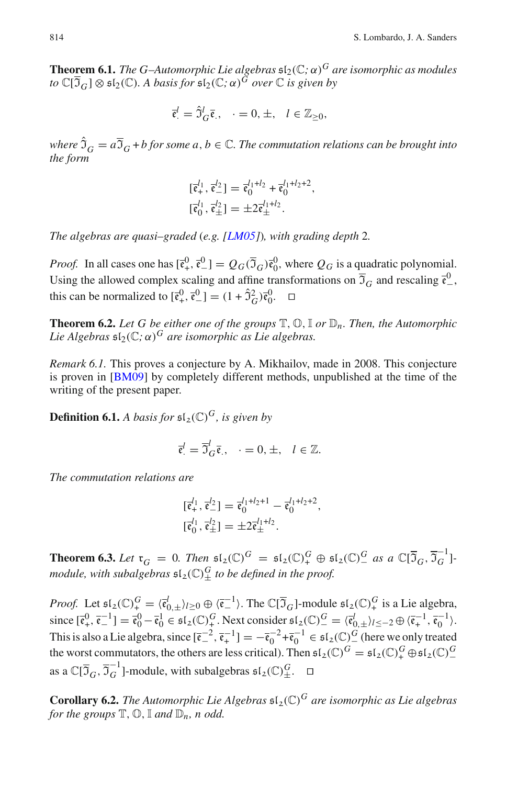<span id="page-22-0"></span>**Theorem 6.1.** *The G–Automorphic Lie algebras*  $\mathfrak{sl}_2(\mathbb{C}; \alpha)^G$  *are isomorphic as modules to*  $\mathbb{C}[\overline{\mathfrak{I}}_G] \otimes \mathfrak{sl}_2(\mathbb{C})$ . A basis for  $\mathfrak{sl}_2(\mathbb{C}; \alpha)^G$  over  $\mathbb{C}$  is given by

$$
\overline{\mathfrak{e}}_{\cdot}^{l} = \widehat{\mathfrak{I}}_{G}^{l} \overline{\mathfrak{e}}_{\cdot}, \quad \cdot = 0, \pm, \quad l \in \mathbb{Z}_{\geq 0},
$$

*where*  $\hat{J}_G = a\overline{J}_G + b$  for some  $a, b \in \mathbb{C}$ . The commutation relations can be brought into *the form*

$$
\begin{aligned} [\bar{\mathfrak{e}}_+^{l_1}, \bar{\mathfrak{e}}_-^{l_2}] &= \bar{\mathfrak{e}}_0^{l_1+l_2} + \bar{\mathfrak{e}}_0^{l_1+l_2+2}, \\ [\bar{\mathfrak{e}}_0^{l_1}, \bar{\mathfrak{e}}_\pm^{l_2}] &= \pm 2 \bar{\mathfrak{e}}_\pm^{l_1+l_2}. \end{aligned}
$$

*The algebras are quasi–graded* (*e.g. [\[LM05\]](#page-31-0)*)*, with grading depth* 2*.*

*Proof.* In all cases one has  $[\bar{\mathfrak{e}}_+^0, \bar{\mathfrak{e}}_+^0] = Q_G(\bar{\mathfrak{I}}_G) \bar{\mathfrak{e}}_0^0$ , where  $Q_G$  is a quadratic polynomial. Using the allowed complex scaling and affine transformations on  $\overline{3}_G$  and rescaling  $\overline{\mathfrak{e}}^0$ , this can be normalized to  $[\bar{\mathfrak{e}}_+^0, \bar{\mathfrak{e}}_-^0] = (1 + \hat{\mathfrak{I}}_G^2) \bar{\mathfrak{e}}_0^0$ .  $\Box$ 

**Theorem 6.2.** Let G be either one of the groups  $\mathbb{T}, \mathbb{O}, \mathbb{I}$  or  $\mathbb{D}_n$ . Then, the Automorphic *Lie Algebras*  $\mathfrak{sl}_2(\mathbb{C}; \alpha)^G$  *are isomorphic as Lie algebras.* 

*Remark 6.1.* This proves a conjecture by A. Mikhailov, made in 2008. This conjecture is proven in [\[BM09](#page-30-7)] by completely different methods, unpublished at the time of the writing of the present paper.

**Definition 6.1.** A basis for  $\mathfrak{sl}_2(\mathbb{C})^G$ , is given by

$$
\overline{\mathfrak{e}}_{.}^{l} = \overline{\mathfrak{I}}_{G}^{l} \overline{\mathfrak{e}}_{.}, \quad \cdot = 0, \pm, \quad l \in \mathbb{Z}.
$$

*The commutation relations are*

$$
\begin{aligned} [\bar{\mathfrak{e}}_+^{l_1}, \bar{\mathfrak{e}}_-^{l_2}] &= \bar{\mathfrak{e}}_0^{l_1 + l_2 + 1} - \bar{\mathfrak{e}}_0^{l_1 + l_2 + 2}, \\ [\bar{\mathfrak{e}}_0^{l_1}, \bar{\mathfrak{e}}_\pm^{l_2}] &= \pm 2 \bar{\mathfrak{e}}_\pm^{l_1 + l_2}. \end{aligned}
$$

<span id="page-22-1"></span>**Theorem 6.3.** Let  $\mathfrak{r}_G = 0$ . Then  $\mathfrak{sl}_2(\mathbb{C})^G = \mathfrak{sl}_2(\mathbb{C})^G + \mathfrak{sl}_2(\mathbb{C})^G$  as a  $\mathbb{C}[\overline{\mathfrak{I}}_G, \overline{\mathfrak{I}}_G^{-1}]$ *module, with subalgebras*  $\mathfrak{sl}_2(\mathbb{C})^G_{\pm}$  *to be defined in the proof.* 

*Proof.* Let  $\mathfrak{sl}_2(\mathbb{C})_+^G = \langle \bar{\mathfrak{el}}_{0,\pm} \rangle_{l \geq 0} \oplus \langle \bar{\mathfrak{el}}_{-}^{\perp} \rangle$ . The  $\mathbb{C}[\overline{\mathfrak{I}}_G]$ -module  $\mathfrak{sl}_2(\mathbb{C})_+^G$  is a Lie algebra, since  $[\bar{\mathfrak{e}}_+^0, \bar{\mathfrak{e}}_-^{-1}] = \bar{\mathfrak{e}}_0^0 - \bar{\mathfrak{e}}_0^1 \in \mathfrak{sl}_2(\mathbb{C})^G_+$ . Next consider  $\mathfrak{sl}_2(\mathbb{C})^G_- = \langle \bar{\mathfrak{e}}_0^l \rangle_{l \leq -2} \oplus \langle \bar{\mathfrak{e}}_+^{-1}, \bar{\mathfrak{e}}_0^{-1} \rangle$ . This is also a Lie algebra, since  $[\bar{\mathfrak{e}}_+^{-2}, \bar{\mathfrak{e}}_+^{-1}] = -\bar{\mathfrak{e}}_0^{-2} + \bar{\mathfrak{e}}_0^{-1} \in \mathfrak{sl}_2(\mathbb{C})_0^G$  (here we only treated the worst commutators, the others are less critical). Then  $\mathfrak{sl}_2(\mathbb{C})^G = \mathfrak{sl}_2(\mathbb{C})^G_+ \oplus \mathfrak{sl}_2(\mathbb{C})^G_-$ − as a  $\mathbb{C}[\overline{3}_G, \overline{3}_G^{-1}]$ -module, with subalgebras  $\mathfrak{sl}_2(\mathbb{C})^G_{\pm}$ .  $\Box$ 

**Corollary 6.2.** The Automorphic Lie Algebras  $\mathfrak{sl}_2(\mathbb{C})^G$  are isomorphic as Lie algebras *for the groups*  $\mathbb{T}, \mathbb{O}, \mathbb{I}$  *and*  $\mathbb{D}_n$ *, n odd.*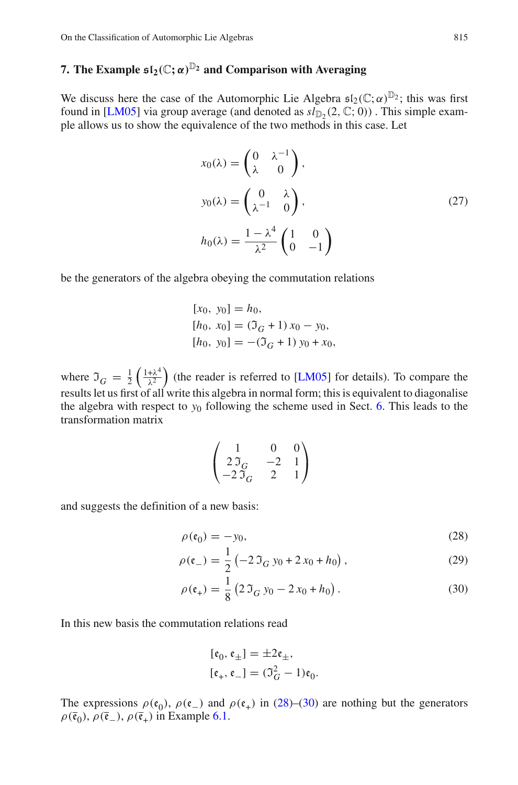#### <span id="page-23-0"></span>**7.** The Example  $\mathfrak{sl}_2(\mathbb{C}; \alpha)^{\mathbb{D}_2}$  and Comparison with Averaging

We discuss here the case of the Automorphic Lie Algebra  $\mathfrak{sl}_2(\mathbb{C};\alpha)^{\mathbb{D}_2}$ ; this was first found in [\[LM05\]](#page-31-0) via group average (and denoted as  $sl_{\mathbb{D}_2}(2,\mathbb{C};0)$ ). This simple example allows us to show the equivalence of the two methods in this case. Let

<span id="page-23-1"></span>
$$
x_0(\lambda) = \begin{pmatrix} 0 & \lambda^{-1} \\ \lambda & 0 \end{pmatrix},
$$
  
\n
$$
y_0(\lambda) = \begin{pmatrix} 0 & \lambda \\ \lambda^{-1} & 0 \end{pmatrix},
$$
  
\n
$$
h_0(\lambda) = \frac{1 - \lambda^4}{\lambda^2} \begin{pmatrix} 1 & 0 \\ 0 & -1 \end{pmatrix}
$$
 (27)

<span id="page-23-2"></span>be the generators of the algebra obeying the commutation relations

$$
[x0, y0] = h0,\n[h0, x0] = (\mathfrak{I}_G + 1) x0 - y0,\n[h0, y0] = -(\mathfrak{I}_G + 1) y0 + x0,
$$

where  $\mathfrak{I}_G = \frac{1}{2} \left( \frac{1 + \lambda^4}{\lambda^2} \right)$  $\frac{+\lambda^4}{\lambda^2}$  (the reader is referred to [\[LM05\]](#page-31-0) for details). To compare the results let us first of all write this algebra in normal form; this is equivalent to diagonalise the algebra with respect to  $y_0$  following the scheme used in Sect. [6.](#page-19-0) This leads to the transformation matrix

$$
\begin{pmatrix} 1 & 0 & 0 \ 2\Im_G & -2 & 1 \ -2\Im_G & 2 & 1 \end{pmatrix}
$$

and suggests the definition of a new basis:

$$
\rho(\mathfrak{e}_0) = -y_0,\tag{28}
$$

$$
\rho(\mathfrak{e}_-) = \frac{1}{2} \left( -2 \, \mathfrak{I}_G \, y_0 + 2 \, x_0 + h_0 \right),\tag{29}
$$

$$
\rho(\mathfrak{e}_+) = \frac{1}{8} \left( 2 \, \mathfrak{I}_G \, y_0 - 2 \, x_0 + h_0 \right). \tag{30}
$$

In this new basis the commutation relations read

$$
[\mathfrak{e}_0, \mathfrak{e}_\pm] = \pm 2\mathfrak{e}_\pm,
$$
  

$$
[\mathfrak{e}_+, \mathfrak{e}_\mp] = (\mathfrak{I}_G^2 - 1)\mathfrak{e}_0.
$$

The expressions  $\rho(\mathfrak{e}_0)$ ,  $\rho(\mathfrak{e}_-)$  and  $\rho(\mathfrak{e}_+)$  in [\(28\)](#page-22-1)–[\(30\)](#page-22-1) are nothing but the generators  $\rho(\bar{\mathfrak{e}}_0)$ ,  $\rho(\bar{\mathfrak{e}}_-)$ ,  $\rho(\bar{\mathfrak{e}}_+)$  in Example [6.1.](#page-20-0)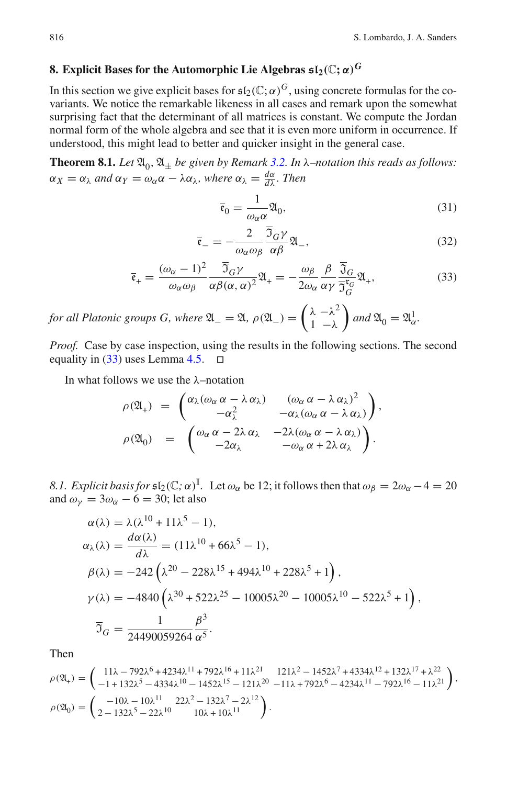### **8. Explicit Bases for the Automorphic Lie Algebras**  $\mathfrak{sl}_2(\mathbb{C}; \alpha)^G$

In this section we give explicit bases for  $\mathfrak{sl}_2(\mathbb{C}; \alpha)^G$ , using concrete formulas for the covariants. We notice the remarkable likeness in all cases and remark upon the somewhat surprising fact that the determinant of all matrices is constant. We compute the Jordan normal form of the whole algebra and see that it is even more uniform in occurrence. If understood, this might lead to better and quicker insight in the general case.

**Theorem 8.1.** Let  $\mathfrak{A}_0, \mathfrak{A}_\pm$  be given by Remark [3.2.](#page-7-2) In  $\lambda$ –notation this reads as follows:  $\alpha_X = \alpha_\lambda$  and  $\alpha_Y = \omega_\alpha \alpha - \lambda \alpha_\lambda$ , where  $\alpha_\lambda = \frac{d\alpha}{d\lambda}$ . Then

$$
\bar{\mathfrak{e}}_0 = \frac{1}{\omega_\alpha \alpha} \mathfrak{A}_0,\tag{31}
$$

$$
\bar{\mathfrak{e}}_{-} = -\frac{2}{\omega_{\alpha}\omega_{\beta}} \frac{\overline{\mathfrak{I}}_{G}\gamma}{\alpha\beta} \mathfrak{A}_{-},\tag{32}
$$

$$
\bar{\mathfrak{e}}_{+} = \frac{(\omega_{\alpha} - 1)^2}{\omega_{\alpha}\omega_{\beta}} \frac{\overline{\mathfrak{I}}_G \gamma}{\alpha \beta (\alpha, \alpha)^2} \mathfrak{A}_{+} = -\frac{\omega_{\beta}}{2\omega_{\alpha}} \frac{\beta}{\alpha \gamma} \frac{\overline{\mathfrak{I}}_G}{\overline{\mathfrak{I}}_G^{\mathfrak{r}_G}} \mathfrak{A}_{+},\tag{33}
$$

*for all Platonic groups G, where*  $\mathfrak{A}_{-} = \mathfrak{A}$ *,*  $\rho(\mathfrak{A}_{-}) = \begin{pmatrix} \lambda & -\lambda^2 \\ 1 & -\lambda \end{pmatrix}$  $1 - \lambda$  $\int$  and  $\mathfrak{A}_0 = \mathfrak{A}^1_{\alpha}$ .

*Proof.* Case by case inspection, using the results in the following sections. The second equality in [\(33\)](#page-23-2) uses Lemma [4.5.](#page-14-7) ⊓⊔

In what follows we use the λ–notation

$$
\rho(\mathfrak{A}_{+}) = \begin{pmatrix} \alpha_{\lambda}(\omega_{\alpha} \alpha - \lambda \alpha_{\lambda}) & (\omega_{\alpha} \alpha - \lambda \alpha_{\lambda})^{2} \\ -\alpha_{\lambda}^{2} & -\alpha_{\lambda}(\omega_{\alpha} \alpha - \lambda \alpha_{\lambda}) \end{pmatrix},
$$

$$
\rho(\mathfrak{A}_{0}) = \begin{pmatrix} \omega_{\alpha} \alpha - 2\lambda \alpha_{\lambda} & -2\lambda(\omega_{\alpha} \alpha - \lambda \alpha_{\lambda}) \\ -2\alpha_{\lambda} & -\omega_{\alpha} \alpha + 2\lambda \alpha_{\lambda} \end{pmatrix}.
$$

*8.1. Explicit basis for*  $\mathfrak{sl}_2(\mathbb{C}; \alpha)^{\mathbb{I}}$ . Let  $\omega_\alpha$  be 12; it follows then that  $\omega_\beta = 2\omega_\alpha - 4 = 20$ and  $\omega_{v} = 3\omega_{\alpha} - 6 = 30$ ; let also

$$
\alpha(\lambda) = \lambda(\lambda^{10} + 11\lambda^5 - 1),
$$
  
\n
$$
\alpha_{\lambda}(\lambda) = \frac{d\alpha(\lambda)}{d\lambda} = (11\lambda^{10} + 66\lambda^5 - 1),
$$
  
\n
$$
\beta(\lambda) = -242(\lambda^{20} - 228\lambda^{15} + 494\lambda^{10} + 228\lambda^5 + 1),
$$
  
\n
$$
\gamma(\lambda) = -4840(\lambda^{30} + 522\lambda^{25} - 10005\lambda^{20} - 10005\lambda^{10} - 522\lambda^5 + 1),
$$
  
\n
$$
\overline{J}_G = \frac{1}{24490059264} \frac{\beta^3}{\alpha^5}.
$$

Then

$$
\begin{split} \rho(\mathfrak{A}_+)=&\left(\begin{array}{c} 11\lambda-792\lambda^6+4234\lambda^{11}+792\lambda^{16}+11\lambda^{21}&121\lambda^2-1452\lambda^7+4334\lambda^{12}+132\lambda^{17}+\lambda^{22}\\ -1+132\lambda^5-4334\lambda^{10}-1452\lambda^{15}-121\lambda^{20}&-11\lambda+792\lambda^6-4234\lambda^{11}-792\lambda^{16}-11\lambda^{21}\end{array}\right),\\ \rho(\mathfrak{A}_0)=&\left(\begin{array}{c} -10\lambda-10\lambda^{11}&22\lambda^2-132\lambda^7-2\lambda^{12}\\ 2-132\lambda^5-22\lambda^{10}&10\lambda+10\lambda^{11}\end{array}\right). \end{split}
$$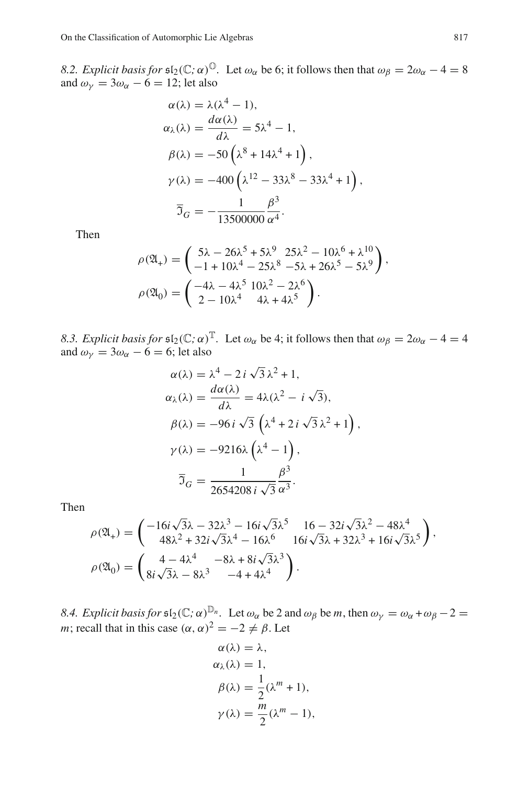*8.2. Explicit basis for*  $\mathfrak{sl}_2(\mathbb{C}; \alpha)^\mathbb{O}$ . Let  $\omega_\alpha$  be 6; it follows then that  $\omega_\beta = 2\omega_\alpha - 4 = 8$ and  $\omega_{\nu} = 3\omega_{\alpha} - 6 = 12$ ; let also

$$
\alpha(\lambda) = \lambda(\lambda^4 - 1),
$$
  
\n
$$
\alpha_{\lambda}(\lambda) = \frac{d\alpha(\lambda)}{d\lambda} = 5\lambda^4 - 1,
$$
  
\n
$$
\beta(\lambda) = -50\left(\lambda^8 + 14\lambda^4 + 1\right),
$$
  
\n
$$
\gamma(\lambda) = -400\left(\lambda^{12} - 33\lambda^8 - 33\lambda^4 + 1\right),
$$
  
\n
$$
\overline{3}_G = -\frac{1}{13500000} \frac{\beta^3}{\alpha^4}.
$$

<span id="page-25-1"></span>Then

$$
\rho(\mathfrak{A}_{+}) = \begin{pmatrix} 5\lambda - 26\lambda^{5} + 5\lambda^{9} & 25\lambda^{2} - 10\lambda^{6} + \lambda^{10} \\ -1 + 10\lambda^{4} - 25\lambda^{8} & -5\lambda + 26\lambda^{5} - 5\lambda^{9} \end{pmatrix},
$$

$$
\rho(\mathfrak{A}_{0}) = \begin{pmatrix} -4\lambda - 4\lambda^{5} & 10\lambda^{2} - 2\lambda^{6} \\ 2 - 10\lambda^{4} & 4\lambda + 4\lambda^{5} \end{pmatrix}.
$$

*8.3. Explicit basis for*  $\mathfrak{sl}_2(\mathbb{C}; \alpha)^\mathbb{T}$ . Let  $\omega_\alpha$  be 4; it follows then that  $\omega_\beta = 2\omega_\alpha - 4 = 4$ and  $\omega_{\gamma} = 3\omega_{\alpha} - 6 = 6$ ; let also

$$
\alpha(\lambda) = \lambda^4 - 2i\sqrt{3}\lambda^2 + 1,
$$
  
\n
$$
\alpha_{\lambda}(\lambda) = \frac{d\alpha(\lambda)}{d\lambda} = 4\lambda(\lambda^2 - i\sqrt{3}),
$$
  
\n
$$
\beta(\lambda) = -96i\sqrt{3} \left(\lambda^4 + 2i\sqrt{3}\lambda^2 + 1\right),
$$
  
\n
$$
\gamma(\lambda) = -9216\lambda \left(\lambda^4 - 1\right),
$$
  
\n
$$
\overline{3}_G = \frac{1}{2654208 i \sqrt{3}} \frac{\beta^3}{\alpha^3}.
$$

<span id="page-25-0"></span>Then

$$
\rho(\mathfrak{A}_{+}) = \begin{pmatrix} -16i\sqrt{3}\lambda - 32\lambda^{3} - 16i\sqrt{3}\lambda^{5} & 16 - 32i\sqrt{3}\lambda^{2} - 48\lambda^{4} \\ 48\lambda^{2} + 32i\sqrt{3}\lambda^{4} - 16\lambda^{6} & 16i\sqrt{3}\lambda + 32\lambda^{3} + 16i\sqrt{3}\lambda^{5} \end{pmatrix},
$$
  
\n
$$
\rho(\mathfrak{A}_{0}) = \begin{pmatrix} 4 - 4\lambda^{4} & -8\lambda + 8i\sqrt{3}\lambda^{3} \\ 8i\sqrt{3}\lambda - 8\lambda^{3} & -4 + 4\lambda^{4} \end{pmatrix}.
$$

*8.4. Explicit basis for*  $\mathfrak{sl}_2(\mathbb{C}; \alpha)_{\alpha}^{\mathbb{D}_n}$ . Let  $\omega_\alpha$  be 2 and  $\omega_\beta$  be *m*, then  $\omega_\gamma = \omega_\alpha + \omega_\beta - 2 =$ *m*; recall that in this case  $(\alpha, \alpha)^2 = -2 \neq \beta$ . Let

$$
\alpha(\lambda) = \lambda,
$$
  
\n
$$
\alpha_{\lambda}(\lambda) = 1,
$$
  
\n
$$
\beta(\lambda) = \frac{1}{2}(\lambda^{m} + 1),
$$
  
\n
$$
\gamma(\lambda) = \frac{m}{2}(\lambda^{m} - 1),
$$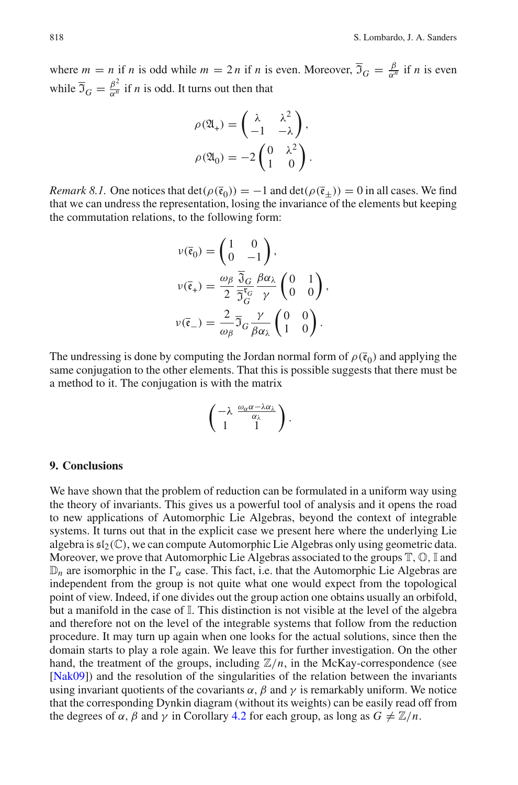where  $m = n$  if *n* is odd while  $m = 2n$  if *n* is even. Moreover,  $\overline{3}_G = \frac{\beta}{\alpha^n}$  $\frac{p}{\alpha^n}$  if *n* is even while  $\overline{J}_G = \frac{\beta^2}{\alpha^n}$  $\frac{\rho}{\alpha^n}$  if *n* is odd. It turns out then that

$$
\rho(\mathfrak{A}_+) = \begin{pmatrix} \lambda & \lambda^2 \\ -1 & -\lambda \end{pmatrix},
$$

$$
\rho(\mathfrak{A}_0) = -2 \begin{pmatrix} 0 & \lambda^2 \\ 1 & 0 \end{pmatrix}.
$$

*Remark 8.1.* One notices that  $\det(\rho(\bar{e}_0)) = -1$  and  $\det(\rho(\bar{e}_\pm)) = 0$  in all cases. We find that we can undress the representation, losing the invariance of the elements but keeping the commutation relations, to the following form:

$$
\nu(\bar{\mathfrak{e}}_0) = \begin{pmatrix} 1 & 0 \\ 0 & -1 \end{pmatrix},
$$
  
\n
$$
\nu(\bar{\mathfrak{e}}_+) = \frac{\omega_\beta}{2} \frac{\overline{3}_G}{\overline{3}_G^{\mathfrak{e}_G}} \frac{\beta \alpha_\lambda}{\gamma} \begin{pmatrix} 0 & 1 \\ 0 & 0 \end{pmatrix},
$$
  
\n
$$
\nu(\bar{\mathfrak{e}}_-) = \frac{2}{\omega_\beta} \overline{3}_G \frac{\gamma}{\beta \alpha_\lambda} \begin{pmatrix} 0 & 0 \\ 1 & 0 \end{pmatrix}.
$$

<span id="page-26-0"></span>The undressing is done by computing the Jordan normal form of  $\rho(\bar{\mathfrak{e}}_0)$  and applying the same conjugation to the other elements. That this is possible suggests that there must be a method to it. The conjugation is with the matrix

$$
\begin{pmatrix} -\lambda & \frac{\omega_{\alpha}\alpha - \lambda\alpha_{\lambda}}{\alpha_{\lambda}} \\ 1 & 1 \end{pmatrix}.
$$

#### **9. Conclusions**

<span id="page-26-1"></span>We have shown that the problem of reduction can be formulated in a uniform way using the theory of invariants. This gives us a powerful tool of analysis and it opens the road to new applications of Automorphic Lie Algebras, beyond the context of integrable systems. It turns out that in the explicit case we present here where the underlying Lie algebra is  $\mathfrak{sl}_2(\mathbb{C})$ , we can compute Automorphic Lie Algebras only using geometric data. Moreover, we prove that Automorphic Lie Algebras associated to the groups  $\mathbb{T}, \mathbb{O}, \mathbb{I}$  and  $\mathbb{D}_n$  are isomorphic in the  $\Gamma_\alpha$  case. This fact, i.e. that the Automorphic Lie Algebras are independent from the group is not quite what one would expect from the topological point of view. Indeed, if one divides out the group action one obtains usually an orbifold, but a manifold in the case of I. This distinction is not visible at the level of the algebra and therefore not on the level of the integrable systems that follow from the reduction procedure. It may turn up again when one looks for the actual solutions, since then the domain starts to play a role again. We leave this for further investigation. On the other hand, the treatment of the groups, including  $\mathbb{Z}/n$ , in the McKay-correspondence (see [\[Nak09](#page-31-19)]) and the resolution of the singularities of the relation between the invariants using invariant quotients of the covariants  $\alpha$ ,  $\beta$  and  $\gamma$  is remarkably uniform. We notice that the corresponding Dynkin diagram (without its weights) can be easily read off from the degrees of  $\alpha$ ,  $\beta$  and  $\gamma$  in Corollary [4.2](#page-14-5) for each group, as long as  $G \neq \mathbb{Z}/n$ .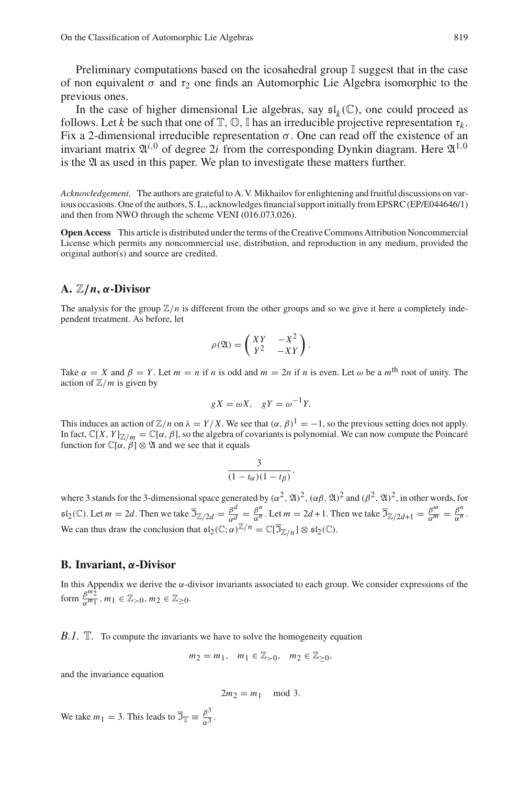Preliminary computations based on the icosahedral group  $\mathbb I$  suggest that in the case of non equivalent  $\sigma$  and  $\tau_2$  one finds an Automorphic Lie Algebra isomorphic to the previous ones.

In the case of higher dimensional Lie algebras, say  $\mathfrak{sl}_k(\mathbb{C})$ , one could proceed as follows. Let *k* be such that one of  $\mathbb{T}, \mathbb{O}, \mathbb{I}$  has an irreducible projective representation  $\tau_k$ . Fix a 2-dimensional irreducible representation  $σ$ . One can read off the existence of an invariant matrix  $\mathfrak{A}^{i,0}$  of degree 2*i* from the corresponding Dynkin diagram. Here  $\mathfrak{A}^{1,0}$ is the  $\mathfrak A$  as used in this paper. We plan to investigate these matters further.

*Acknowledgement.* The authors are grateful to A. V. Mikhailov for enlightening and fruitful discussions on various occasions. One of the authors, S. L., acknowledges financial support initially from EPSRC (EP/E044646/1) and then from NWO through the scheme VENI (016.073.026).

**Open Access** This article is distributed under the terms of the Creative Commons Attribution Noncommercial License which permits any noncommercial use, distribution, and reproduction in any medium, provided the original author(s) and source are credited.

#### **A.** Z/*n***,** α**-Divisor**

The analysis for the group  $\mathbb{Z}/n$  is different from the other groups and so we give it here a completely independent treatment. As before, let

$$
\rho(\mathfrak{A}) = \begin{pmatrix} XY & -X^2 \\ Y^2 & -XY \end{pmatrix}.
$$

Take  $\alpha = X$  and  $\beta = Y$ . Let  $m = n$  if *n* is odd and  $m = 2n$  if *n* is even. Let  $\omega$  be a  $m^{\text{th}}$  root of unity. The action of  $\mathbb{Z}/m$  is given by

$$
gX = \omega X, \quad gY = \omega^{-1}Y.
$$

<span id="page-27-0"></span>This induces an action of  $\mathbb{Z}/n$  on  $\lambda = Y/X$ . We see that  $(\alpha, \beta)^1 = -1$ , so the previous setting does not apply. In fact,  $\mathbb{C}[X, Y]_{\mathbb{Z}/m} = \mathbb{C}[\alpha, \beta]$ , so the algebra of covariants is polynomial. We can now compute the Poincaré function for  $\mathbb{C}[\alpha, \beta] \otimes \mathfrak{A}$  and we see that it equals

$$
\frac{3}{(1-t_{\alpha})(1-t_{\beta})},
$$

where 3 stands for the 3-dimensional space generated by  $(\alpha^2, \mathfrak{A})^2$ ,  $(\alpha\beta, \mathfrak{A})^2$  and  $(\beta^2, \mathfrak{A})^2$ , in other words, for  $\mathfrak{sl}_2(\mathbb{C})$ . Let  $m = 2d$ . Then we take  $\overline{\mathfrak{I}}_{\mathbb{Z}/2d} = \frac{\beta^d}{\alpha^d}$  $\frac{\beta^d}{\alpha^d} = \frac{\beta^n}{\alpha^n}$  $\frac{\beta^n}{\alpha^n}$ . Let  $m = 2d + 1$ . Then we take  $\overline{\mathfrak{I}}_{\mathbb{Z}/2d+1} = \frac{\beta^m}{\alpha^m} = \frac{\beta^n}{\alpha^n}$  $\frac{p}{\alpha^n}$ . We can thus draw the conclusion that  $\mathfrak{sl}_2(\mathbb{C}; \alpha)^{\mathbb{Z}/n} = \mathbb{C}[\overline{\mathfrak{I}}_{\mathbb{Z}/n}] \otimes \mathfrak{sl}_2(\mathbb{C})$ .

#### **B. Invariant,** α**-Divisor**

In this Appendix we derive the  $\alpha$ -divisor invariants associated to each group. We consider expressions of the form  $\frac{\beta^{m_2}}{\alpha^{m_1}}$  $\frac{\beta^{m_2}}{\alpha^{m_1}}$ ,  $m_1 \in \mathbb{Z}_{>0}$ ,  $m_2 \in \mathbb{Z}_{\geq 0}$ .

*B.1.* The compute the invariants we have to solve the homogeneity equation

$$
m_2 = m_1
$$
,  $m_1 \in \mathbb{Z}_{>0}$ ,  $m_2 \in \mathbb{Z}_{\geq 0}$ ,

and the invariance equation

$$
2m_2 = m_1 \mod 3.
$$

We take  $m_1 = 3$ . This leads to  $\overline{3}_{\mathbb{T}} \equiv \frac{\beta^3}{\alpha^3}$  $\frac{p}{\alpha^3}$ .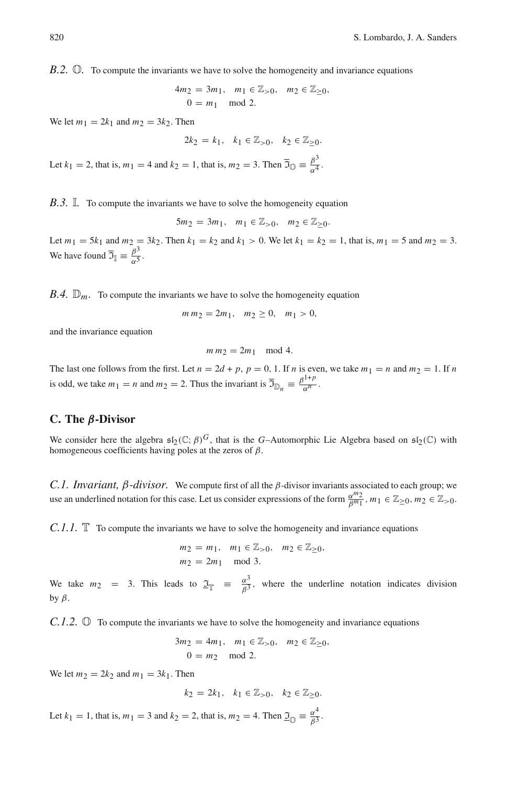*B.2.* O*.* To compute the invariants we have to solve the homogeneity and invariance equations

$$
4m_2 = 3m_1, m_1 \in \mathbb{Z}_{>0}, m_2 \in \mathbb{Z}_{\geq 0},
$$
  
0 = m<sub>1</sub> mod 2.

We let  $m_1 = 2k_1$  and  $m_2 = 3k_2$ . Then

$$
2k_2 = k_1, \quad k_1 \in \mathbb{Z}_{>0}, \quad k_2 \in \mathbb{Z}_{\geq 0}.
$$

Let  $k_1 = 2$ , that is,  $m_1 = 4$  and  $k_2 = 1$ , that is,  $m_2 = 3$ . Then  $\overline{3}_0 = \frac{\beta^3}{\alpha^4}$  $\frac{\rho}{\alpha^4}$ .

*B.3.* I. To compute the invariants we have to solve the homogeneity equation

$$
5m_2 = 3m_1, \quad m_1 \in \mathbb{Z}_{>0}, \quad m_2 \in \mathbb{Z}_{\geq 0}.
$$

Let  $m_1 = 5k_1$  and  $m_2 = 3k_2$ . Then  $k_1 = k_2$  and  $k_1 > 0$ . We let  $k_1 = k_2 = 1$ , that is,  $m_1 = 5$  and  $m_2 = 3$ . We have found  $\overline{3}_{\mathbb{I}} \equiv \frac{\beta^3}{\alpha^5}$  $\frac{\mu}{\alpha^5}$ .

*B.4.*  $\mathbb{D}_m$ . To compute the invariants we have to solve the homogeneity equation

$$
m m_2 = 2m_1, m_2 \ge 0, m_1 > 0,
$$

and the invariance equation

$$
m m_2 = 2m_1 \mod 4.
$$

The last one follows from the first. Let  $n = 2d + p$ ,  $p = 0$ , 1. If *n* is even, we take  $m_1 = n$  and  $m_2 = 1$ . If *n* is odd, we take  $m_1 = n$  and  $m_2 = 2$ . Thus the invariant is  $\overline{B}_{\mathbb{D}_n} = \frac{\beta^{1+p}}{\alpha^n}$  $\frac{1}{\alpha^n}$ .

#### **C. The** β**-Divisor**

We consider here the algebra  $\mathfrak{sl}_2(\mathbb{C}; \beta)^G$ , that is the *G*–Automorphic Lie Algebra based on  $\mathfrak{sl}_2(\mathbb{C})$  with homogeneous coefficients having poles at the zeros of  $\beta$ .

*C.1. Invariant,*  $β$ -*divisor.* We compute first of all the  $β$ -divisor invariants associated to each group; we use an underlined notation for this case. Let us consider expressions of the form  $\frac{\alpha^{m_2}}{\beta^{m_1}}$ ,  $m_1 \in \mathbb{Z}_{\geq 0}$ ,  $m_2 \in \mathbb{Z}_{> 0}$ .

*C.1.1.* The compute the invariants we have to solve the homogeneity and invariance equations

$$
\begin{aligned}\nm_2 &= m_1, & m_1 \in \mathbb{Z}_{>0}, & m_2 \in \mathbb{Z}_{\geq 0}, \\
m_2 &= 2m_1 \mod 3.\n\end{aligned}
$$

We take  $m_2 = 3$ . This leads to  $\mathcal{I}_{\mathbb{T}} = \frac{\alpha^3}{\beta^3}$  $\frac{\alpha^2}{\beta^3}$ , where the underline notation indicates division by  $β$ .

*C.1.2.* ① To compute the invariants we have to solve the homogeneity and invariance equations

$$
3m_2 = 4m_1, \quad m_1 \in \mathbb{Z}_{>0}, \quad m_2 \in \mathbb{Z}_{\geq 0},
$$
  

$$
0 = m_2 \mod 2.
$$

We let  $m_2 = 2k_2$  and  $m_1 = 3k_1$ . Then

$$
k_2=2k_1,\quad k_1\in\mathbb{Z}_{>0},\quad k_2\in\mathbb{Z}_{\geq 0}.
$$

Let  $k_1 = 1$ , that is,  $m_1 = 3$  and  $k_2 = 2$ , that is,  $m_2 = 4$ . Then  $\mathfrak{I}_{\text{CD}} \equiv \frac{\alpha^4}{\beta^3}$  $\frac{\alpha}{\beta^3}$ .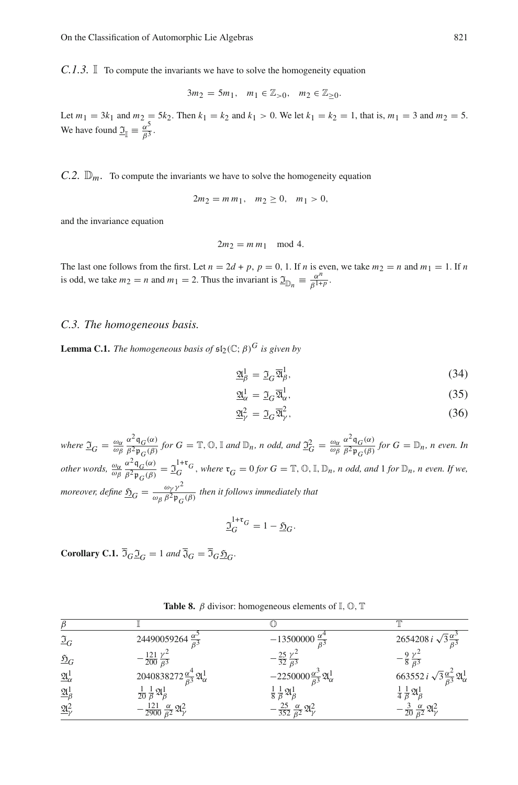*C.1.3.* I To compute the invariants we have to solve the homogeneity equation

$$
3m_2 = 5m_1, \ \ m_1 \in {\mathbb Z}_{>0}, \ \ m_2 \in {\mathbb Z}_{\geq 0}.
$$

Let  $m_1 = 3k_1$  and  $m_2 = 5k_2$ . Then  $k_1 = k_2$  and  $k_1 > 0$ . We let  $k_1 = k_2 = 1$ , that is,  $m_1 = 3$  and  $m_2 = 5$ . We have found  $\underline{\mathfrak{I}}_{\mathbb{I}} \equiv \frac{\alpha^5}{\beta^3}$  $\frac{\alpha}{\beta^3}$ .

*C.2.*  $\mathbb{D}_m$ . To compute the invariants we have to solve the homogeneity equation

$$
2m_2 = m m_1, \quad m_2 \ge 0, \quad m_1 > 0,
$$

and the invariance equation

$$
2m_2 = m m_1 \mod 4.
$$

The last one follows from the first. Let  $n = 2d + p$ ,  $p = 0$ , 1. If *n* is even, we take  $m_2 = n$  and  $m_1 = 1$ . If *n* is odd, we take  $m_2 = n$  and  $m_1 = 2$ . Thus the invariant is  $\mathfrak{I}_{\mathbb{D}_n} \equiv \frac{\alpha^n}{\beta^{1+n}}$  $\frac{\alpha}{\beta^{1+p}}$ .

#### *C.3. The homogeneous basis.*

**Lemma C.1.** *The homogeneous basis of*  $\mathfrak{sl}_2(\mathbb{C}; \beta)^G$  *is given by* 

$$
\underline{\mathfrak{A}}_{\beta}^{1} = \underline{\mathfrak{I}}_{G} \overline{\mathfrak{A}}_{\beta}^{1},\tag{34}
$$

$$
\underline{\mathfrak{A}}_{\alpha}^{1} = \underline{\mathfrak{I}}_{G} \overline{\mathfrak{A}}_{\alpha}^{1},\tag{35}
$$

$$
\underline{\mathfrak{A}}_{\gamma}^2 = \underline{\mathfrak{I}}_G \overline{\mathfrak{A}}_{\gamma}^2,\tag{36}
$$

*where*  $\mathfrak{I}_G = \frac{\omega_{\alpha}}{\omega_{\beta}}$  $\frac{\alpha^2}{q}$ <sub>*G*</sub>(α)  $\frac{\partial^2 \mathsf{q}_G(\alpha)}{\partial^2 \mathsf{p}_G(\beta)}$  for  $G = \mathbb{T}, \mathbb{O}, \mathbb{I}$  and  $\mathbb{D}_n$ *, n odd, and*  $\underline{\mathfrak{I}}_G^2 = \frac{\omega_\alpha}{\omega_\beta}$  $\frac{\alpha^2}{q}$ <sub>*G*</sub>(α)  $\frac{\partial^2 \mathbf{q}}{\partial^2 \mathbf{p}_G(\beta)}$  for  $G = \mathbb{D}_n$ , n even. In *other words,*  $\frac{\omega_{\alpha}}{\omega_{\beta}}$  $\frac{\alpha^2 \mathfrak{q}_G(\alpha)}{q}$  $\frac{\alpha^2 \mathfrak{q}_G(\alpha)}{\beta^2 \mathfrak{p}_G(\beta)} = \mathfrak{Q}_G^{1+\mathfrak{r}_G^*}$ , where  $\mathfrak{r}_G = 0$  for  $G = \mathbb{T}, \mathbb{O}, \mathbb{I}, \mathbb{D}_n$ , *n odd, and* 1 for  $\mathbb{D}_n$ , *n even. If we, moreover, define*  $\frac{\mathfrak{H}}{\Delta G} = \frac{\omega_{\gamma} \gamma^2}{\omega_{\beta} \beta^2 \mathfrak{p}_{C}}$  $\frac{\omega_{\gamma}}{\omega_{\beta} \beta^2 \mathfrak{p}_G(\beta)}$  then it follows immediately that

$$
\underline{\mathfrak{I}}_G^{1+\mathfrak{r}_G} = 1 - \underline{\mathfrak{H}}_G.
$$

**Corollary C.1.**  $\mathfrak{I}_G \mathfrak{I}_G = 1$  *and*  $\mathfrak{I}_G = \mathfrak{I}_G \mathfrak{H}_G$ .

**Table 8.**  $\beta$  divisor: homogeneous elements of  $\mathbb{I}, \mathbb{O}, \mathbb{T}$ 

| $\mathfrak{I}_G$                    | 24490059264 $\frac{\alpha^3}{\beta^3}$                         | $-13500000 \frac{\alpha^4}{\beta^3}$                            | 2654208 <i>i</i> $\sqrt{3} \frac{\alpha^3}{a^3}$                            |
|-------------------------------------|----------------------------------------------------------------|-----------------------------------------------------------------|-----------------------------------------------------------------------------|
| $\mathfrak{D}_G$                    | $-\frac{121}{200}\frac{\gamma^2}{\beta^3}$                     | $-\frac{25}{32}\frac{\gamma^2}{8^3}$                            | $-\frac{2}{8}$ $\frac{1}{8}$                                                |
| $\underline{\mathfrak{A}}^1_\alpha$ | 2040838272 $\frac{\alpha^4}{\beta^3} \mathfrak{A}^1_{\alpha}$  | $-2250000\frac{\alpha^3}{\beta^3}\mathfrak{A}^1_{\alpha}$       | 663552 <i>i</i> $\sqrt{3} \frac{\alpha^2}{\beta^3} \mathfrak{A}_{\alpha}^1$ |
| $\underline{\mathfrak{A}}^1_B$      | $\frac{1}{20}$ $\frac{1}{\beta}$ $\mathfrak{A}^1_{\beta}$      | $\frac{1}{8} \frac{1}{8} \mathfrak{A}_{\beta}^1$                | $rac{1}{4}$ $rac{1}{8}$ $\mathfrak{A}^1_{\beta}$                            |
| $\underline{\mathfrak{A}}_{\nu}^2$  | $-\frac{121}{2900}\frac{\alpha}{\beta^2}\mathfrak{A}_\gamma^2$ | $\frac{25}{352} \frac{\alpha}{\beta^2} \mathfrak{A}_{\gamma}^2$ | $\overline{20}$ $\overline{B^2}$                                            |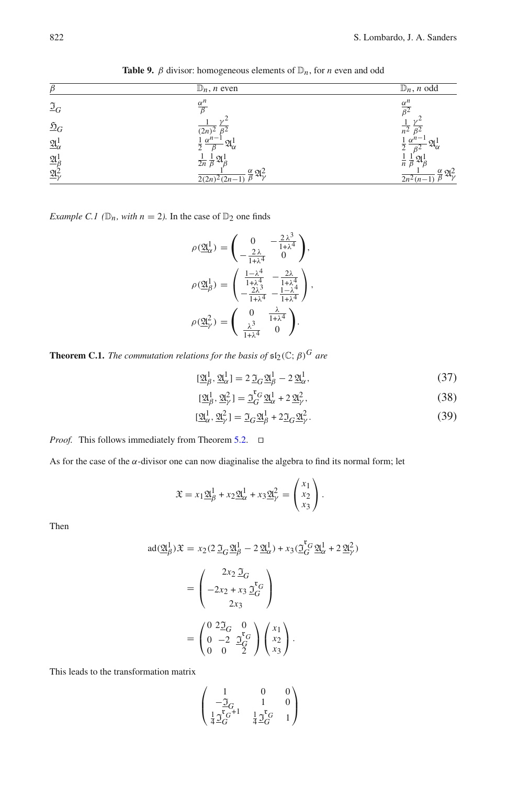| $\beta$                             | $\mathbb{D}_n$ , <i>n</i> even                     | $\mathbb{D}_n$ , <i>n</i> odd |
|-------------------------------------|----------------------------------------------------|-------------------------------|
| $\mathfrak{I}_G$                    | $\alpha^n$                                         |                               |
| $\mathfrak{D}_G$                    | 2n                                                 | n <sup>2</sup>                |
| $\underline{\mathfrak{A}}^1_\alpha$ |                                                    | $\alpha^{\mu}$                |
| $\underline{\mathfrak{A}}^1_f$      | $\overline{2n}$                                    |                               |
| $\underline{\mathfrak{A}}^2$        | $\frac{\alpha}{2} \mathfrak{A}^2$<br>$2(2n)^2(2n-$ | $\mathfrak{A}^2$<br>$2n^2(n-$ |

**Table 9.**  $\beta$  divisor: homogeneous elements of  $\mathbb{D}_n$ , for *n* even and odd

*Example C.1* ( $\mathbb{D}_n$ *, with*  $n = 2$ *).* In the case of  $\mathbb{D}_2$  one finds

$$
\rho(\underline{\mathfrak{A}}_{\alpha}^{1}) = \begin{pmatrix} 0 & -\frac{2\lambda^{3}}{1+\lambda^{4}} \\ -\frac{2\lambda}{1+\lambda^{4}} & 0 \end{pmatrix},
$$

$$
\rho(\underline{\mathfrak{A}}_{\beta}^{1}) = \begin{pmatrix} \frac{1-\lambda^{4}}{1+\lambda^{4}} & -\frac{2\lambda}{1+\lambda^{4}} \\ -\frac{2\lambda^{3}}{1+\lambda^{4}} & -\frac{1-\lambda^{4}}{1+\lambda^{4}} \end{pmatrix},
$$

$$
\rho(\underline{\mathfrak{A}}_{\gamma}^{2}) = \begin{pmatrix} 0 & \frac{\lambda}{1+\lambda^{4}} \\ \frac{\lambda^{3}}{1+\lambda^{4}} & 0 \end{pmatrix}.
$$

<span id="page-30-8"></span>**Theorem C.1.** *The commutation relations for the basis of*  $\mathfrak{sl}_2(\mathbb{C}; \beta)^G$  *are* 

$$
[\underline{\mathfrak{A}}_{\beta}^{1}, \underline{\mathfrak{A}}_{\alpha}^{1}] = 2 \,\underline{\mathfrak{I}}_{G} \underline{\mathfrak{A}}_{\beta}^{1} - 2 \,\underline{\mathfrak{A}}_{\alpha}^{1},\tag{37}
$$

$$
[\underline{\mathfrak{A}}_{\beta}^{1}, \underline{\mathfrak{A}}_{\gamma}^{2}] = \underline{\mathfrak{I}}_{G}^{\mathfrak{r}_{G}} \underline{\mathfrak{A}}_{\alpha}^{1} + 2 \underline{\mathfrak{A}}_{\gamma}^{2},\tag{38}
$$

$$
[\underline{\mathfrak{A}}_{\alpha}^{1}, \underline{\mathfrak{A}}_{\gamma}^{2}] = \underline{\mathfrak{I}}_{G} \underline{\mathfrak{A}}_{\beta}^{1} + 2 \underline{\mathfrak{I}}_{G} \underline{\mathfrak{A}}_{\gamma}^{2}.
$$
 (39)

*Proof.* This follows immediately from Theorem [5.2.](#page-19-2) □

As for the case of the  $\alpha$ -divisor one can now diaginalise the algebra to find its normal form; let

$$
\mathfrak{X} = x_1 \mathfrak{A}_{\beta}^1 + x_2 \mathfrak{A}_{\alpha}^1 + x_3 \mathfrak{A}_{\gamma}^2 = \begin{pmatrix} x_1 \\ x_2 \\ x_3 \end{pmatrix}.
$$

<span id="page-30-5"></span><span id="page-30-4"></span><span id="page-30-0"></span>Then

$$
ad(\underline{\mathfrak{A}}_{\beta}^{1})\mathfrak{X} = x_{2}(2\underline{\mathfrak{I}}_{G}\underline{\mathfrak{A}}_{\beta}^{1} - 2\underline{\mathfrak{A}}_{\alpha}^{1}) + x_{3}(\underline{\mathfrak{I}}_{G}^{\mathfrak{r}}\underline{\mathfrak{A}}_{\alpha}^{1} + 2\underline{\mathfrak{A}}_{\gamma}^{2})
$$

$$
= \begin{pmatrix} 2x_{2}\,\underline{\mathfrak{I}}_{G} \\ -2x_{2} + x_{3}\,\underline{\mathfrak{I}}_{G}^{\mathfrak{r}} \\ 2x_{3} \end{pmatrix}
$$

$$
= \begin{pmatrix} 0 & 2\underline{\mathfrak{I}}_{G} & 0 \\ 0 & -2 & \underline{\mathfrak{I}}_{G}^{\mathfrak{r}} \\ 0 & 0 & 2 \end{pmatrix} \begin{pmatrix} x_{1} \\ x_{2} \\ x_{3} \end{pmatrix}.
$$

<span id="page-30-7"></span><span id="page-30-6"></span><span id="page-30-3"></span><span id="page-30-2"></span><span id="page-30-1"></span>This leads to the transformation matrix

$$
\begin{pmatrix} 1 & 0 & 0 \\ -\frac{\Im}{G} & 1 & 0 \\ \frac{1}{4}\frac{\Im}{G}^{C+1} & \frac{1}{4}\frac{\Im}{G}^{C} & 1 \end{pmatrix}
$$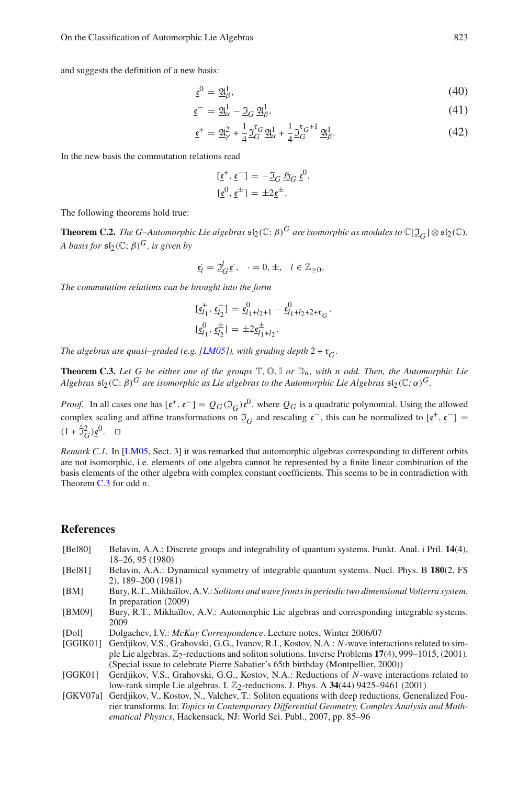<span id="page-31-13"></span><span id="page-31-5"></span>and suggests the definition of a new basis:

$$
\underline{\mathfrak{e}}^0 = \underline{\mathfrak{A}}^1_{\beta},\tag{40}
$$

$$
\underline{\mathfrak{e}}^{-} = \underline{\mathfrak{A}}_{\alpha}^{1} - \underline{\mathfrak{I}}_{G} \underline{\mathfrak{A}}_{\beta}^{1},\tag{41}
$$

$$
\underline{\mathfrak{e}}^{+} = \underline{\mathfrak{A}}_{\gamma}^{2} + \frac{1}{4} \underline{\mathfrak{I}}_{G}^{\mathfrak{r}} \underline{\mathfrak{A}}_{\alpha}^{1} + \frac{1}{4} \underline{\mathfrak{I}}_{G}^{\mathfrak{r}_{G}+1} \underline{\mathfrak{A}}_{\beta}^{1}.
$$
 (42)

<span id="page-31-9"></span><span id="page-31-6"></span><span id="page-31-1"></span>In the new basis the commutation relations read

$$
[\underline{\mathfrak{e}}^+, \underline{\mathfrak{e}}^-] = -\mathfrak{I}_G \mathfrak{H}_G \underline{\mathfrak{e}}^0,
$$
  

$$
[\underline{\mathfrak{e}}^0, \underline{\mathfrak{e}}^\pm] = \pm 2\underline{\mathfrak{e}}^\pm.
$$

<span id="page-31-10"></span>The following theorems hold true:

<span id="page-31-11"></span>**Theorem C.2.** *The G–Automorphic Lie algebras*  $\mathfrak{sl}_2(\mathbb{C}; \beta)^G$  *are isomorphic as modules to*  $\mathbb{C}[\mathcal{I}_G] \otimes \mathfrak{sl}_2(\mathbb{C})$ *. A basis for*  $\mathfrak{sl}_2(\mathbb{C}; \beta)^G$ *, is given by* 

$$
\underline{\mathfrak{e}}_l = \underline{\mathfrak{I}}_G^l \underline{\mathfrak{e}} \,, \quad = 0, \pm, \quad l \in \mathbb{Z}_{\geq 0},
$$

<span id="page-31-3"></span><span id="page-31-2"></span><span id="page-31-0"></span>*The commutation relations can be brought into the form*

$$
\begin{aligned} [\underline{\mathfrak{e}}_{l_1}^+, \underline{\mathfrak{e}}_{l_2}^-] &= \underline{\mathfrak{e}}_{l_1+l_2+1}^0 - \underline{\mathfrak{e}}_{l_1+l_2+2+\mathfrak{r}_G}^0, \\ [\underline{\mathfrak{e}}_{l_1}^0, \underline{\mathfrak{e}}_{l_2}^\pm] &= \pm 2\underline{\mathfrak{e}}_{l_1+l_2}^\pm. \end{aligned}
$$

<span id="page-31-15"></span><span id="page-31-4"></span>*The algebras are quasi–graded (e.g. [\[LM05](#page-31-0)]), with grading depth* 2 + r*<sup>G</sup> .*

<span id="page-31-19"></span><span id="page-31-12"></span>**Theorem C.3.** Let G be either one of the groups  $\mathbb{T}, \mathbb{O}, \mathbb{I}$  or  $\mathbb{D}_n$ , with n odd. Then, the Automorphic Lie *Algebras*  $\mathfrak{sl}_2(\mathbb{C}; \beta)^G$  *are isomorphic as Lie algebras to the Automorphic Lie Algebras*  $\mathfrak{sl}_2(\mathbb{C}; \alpha)^G$ *.* 

<span id="page-31-16"></span><span id="page-31-14"></span>*Proof.* In all cases one has  $[\,\underline{\mathfrak{e}}^+,\,\underline{\mathfrak{e}}^-] = Q_G(\mathcal{I}_G)\,\underline{\mathfrak{e}}^0$ , where  $Q_G$  is a quadratic polynomial. Using the allowed complex scaling and affine transformations on  $\mathcal{I}_G$  and rescaling  $\underline{\mathfrak{e}}^-$ , this can be normalized to  $[\underline{\mathfrak{e}}^+, \underline{\mathfrak{e}}^-] =$  $(1 + \hat{\sigma}_G^2) \underline{\mathfrak{e}}^0$ . □

<span id="page-31-18"></span><span id="page-31-17"></span><span id="page-31-7"></span>*Remark C.1.* In [\[LM05,](#page-31-0) Sect. 3] it was remarked that automorphic algebras corresponding to different orbits are not isomorphic, i.e. elements of one algebra cannot be represented by a finite linear combination of the basis elements of the other algebra with complex constant coefficients. This seems to be in contradiction with Theorem [C.3](#page-30-8) for odd *n*.

#### <span id="page-31-8"></span>**References**

- [Bel80] Belavin, A.A.: Discrete groups and integrability of quantum systems. Funkt. Anal. i Pril. **14**(4), 18–26, 95 (1980)
- [Bel81] Belavin, A.A.: Dynamical symmetry of integrable quantum systems. Nucl. Phys. B **180**(2, FS 2), 189–200 (1981)
- [BM] Bury, R.T., Mikha˘ılov, A.V.: *Solitons and wave fronts in periodic two dimensional Volterra system*. In preparation (2009)
- [BM09] Bury, R.T., Mikhaĭlov, A.V.: Automorphic Lie algebras and corresponding integrable systems. 2009
- [Dol] Dolgachev, I.V.: *McKay Correspondence*. Lecture notes, Winter 2006/07
- [GGIK01] Gerdjikov, V.S., Grahovski, G.G., Ivanov, R.I., Kostov, N.A.: *N*-wave interactions related to simple Lie algebras. Z2-reductions and soliton solutions. Inverse Problems **17**(4), 999–1015, (2001). (Special issue to celebrate Pierre Sabatier's 65th birthday (Montpellier, 2000))
- [GGK01] Gerdjikov, V.S., Grahovski, G.G., Kostov, N.A.: Reductions of *N*-wave interactions related to low-rank simple Lie algebras. I.  $\mathbb{Z}_2$ -reductions. J. Phys. A 34(44) 9425–9461 (2001)
- [GKV07a] Gerdjikov, V., Kostov, N., Valchev, T.: Soliton equations with deep reductions. Generalized Fourier transforms. In: *Topics in Contemporary Differential Geometry, Complex Analysis and Mathematical Physics*, Hackensack, NJ: World Sci. Publ., 2007, pp. 85–96